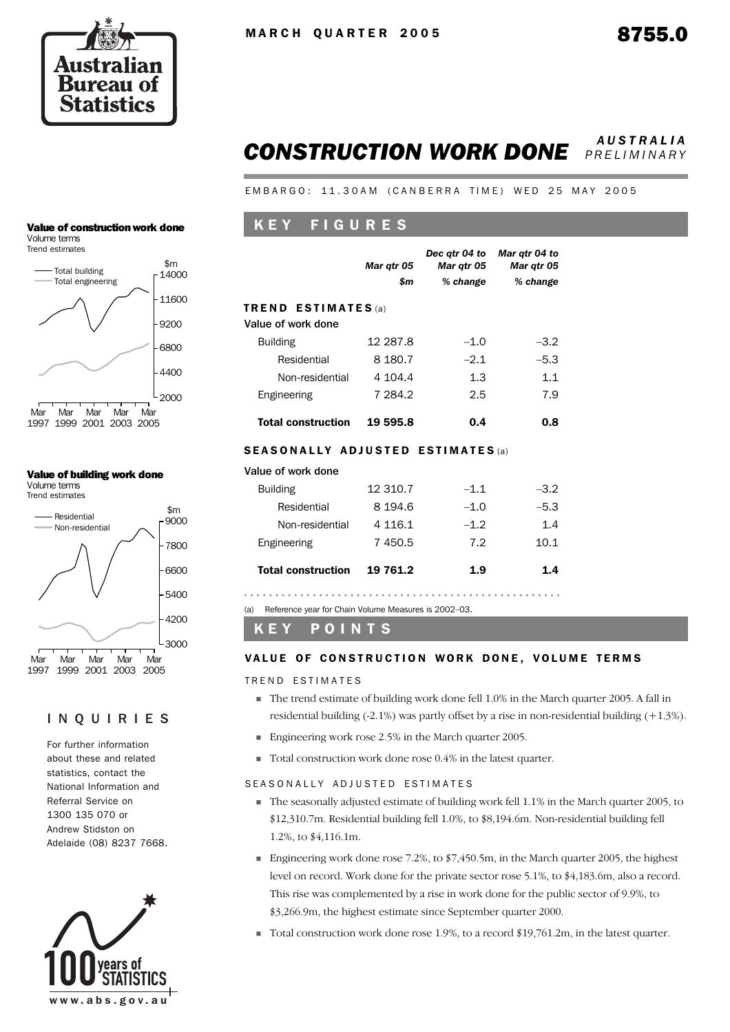

## *CONSTRUCTION WORK DONE AUSTRALIA PRELIMINARY*

EMBARGO: 11.30AM (CANBERRA TIME) WED 25 MAY 2005

## K E Y F I G U R E S

|                                                  | Mar qtr 05      | Dec atr 04 to<br>Mar qtr 05 | Mar qtr 04 to<br>Mar qtr 05 |
|--------------------------------------------------|-----------------|-----------------------------|-----------------------------|
|                                                  | \$m<br>% change |                             | % change                    |
| <b>TREND ESTIMATES</b> (a)<br>Value of work done |                 |                             |                             |
| <b>Building</b>                                  | 12 287.8        | $-1.0$                      | $-3.2$                      |
| Residential                                      | 8 1 8 0.7       | $-2.1$                      | $-5.3$                      |
| Non-residential                                  | 4 104.4         | 1.3                         | 1.1                         |
| Engineering                                      | 7 284.2         | 2.5                         | 7.9                         |
| <b>Total construction</b>                        | 19 595.8        | 0.4                         | 0.8                         |

#### SEASONALLY ADJUSTED ESTIMATES (a)

| <b>Total construction</b> | 19 761.2    | 1.9    | 1.4    |
|---------------------------|-------------|--------|--------|
| Engineering               | 7450.5      | 7.2    | 10.1   |
| Non-residential           | 4 1 1 6 . 1 | $-1.2$ | 1.4    |
| Residential               | 8 1 9 4 . 6 | $-1.0$ | $-5.3$ |
| <b>Building</b>           | 12 310.7    | $-1.1$ | $-3.2$ |
| value ul wuin uulle       |             |        |        |

(a) Reference year for Chain Volume Measures is 2002–03.

K E Y P O I N T S

#### VALUE OF CONSTRUCTION WORK DONE, VOLUME TERMS

TREND ESTIMATES

Value of work done

- The trend estimate of building work done fell 1.0% in the March quarter 2005. A fall in residential building (-2.1%) was partly offset by a rise in non-residential building (+1.3%).
- Engineering work rose 2.5% in the March quarter 2005.
- Total construction work done rose 0.4% in the latest quarter.

#### SEASONALLY ADJUSTED ESTIMATES

- The seasonally adjusted estimate of building work fell 1.1% in the March quarter 2005, to \$12,310.7m. Residential building fell 1.0%, to \$8,194.6m. Non-residential building fell 1.2%, to \$4,116.1m.
- **Engineering work done rose 7.2%, to**  $\frac{2}{3}$ **, 450.5m, in the March quarter 2005, the highest** level on record. Work done for the private sector rose 5.1%, to \$4,183.6m, also a record. This rise was complemented by a rise in work done for the public sector of 9.9%, to \$3,266.9m, the highest estimate since September quarter 2000.
- Total construction work done rose 1.9%, to a record \$19,761.2m, in the latest quarter.

#### Value of construction work done Volume terms

Trend estimates



#### Value of building work done Volume terms

Trend estimates



### INQUIRIES

For further information about these and related statistics, contact the National Information and Referral Service on 1300 135 070 or Andrew Stidston on Adelaide (08) 8237 7668.

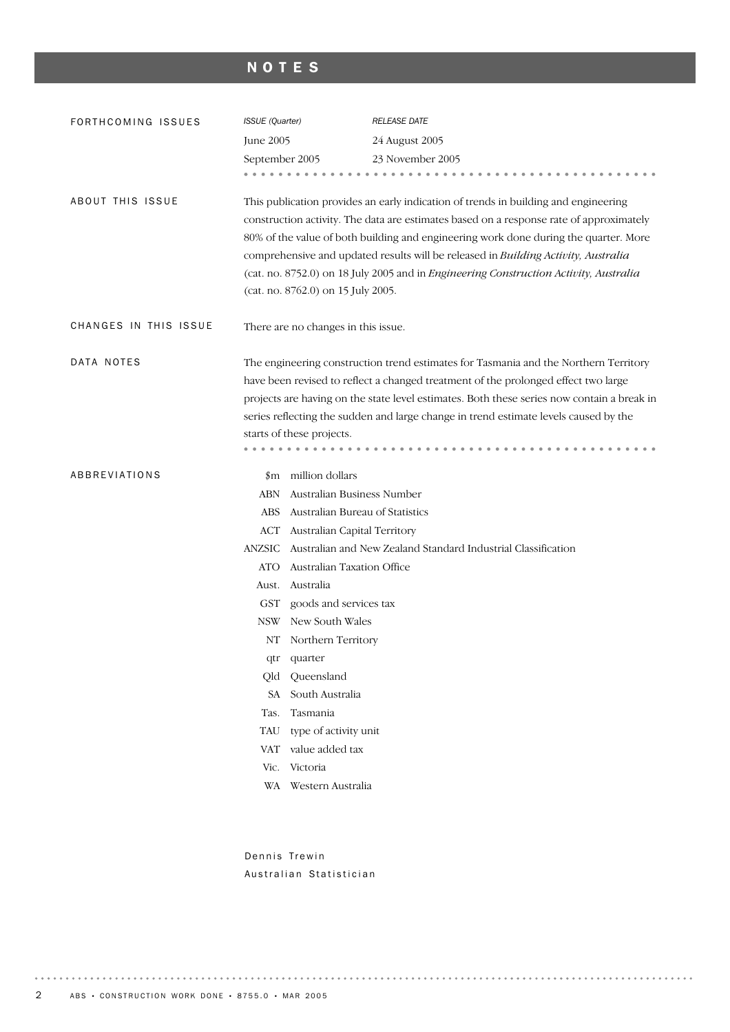## NOTES

| FORTHCOMING ISSUES    | ISSUE (Quarter) |                                                                                                                                                                                                                                                                                                                                                                                                                                                                                             | <b>RELEASE DATE</b>                                                                        |  |  |  |  |  |
|-----------------------|-----------------|---------------------------------------------------------------------------------------------------------------------------------------------------------------------------------------------------------------------------------------------------------------------------------------------------------------------------------------------------------------------------------------------------------------------------------------------------------------------------------------------|--------------------------------------------------------------------------------------------|--|--|--|--|--|
|                       | June 2005       |                                                                                                                                                                                                                                                                                                                                                                                                                                                                                             | 24 August 2005                                                                             |  |  |  |  |  |
|                       | September 2005  |                                                                                                                                                                                                                                                                                                                                                                                                                                                                                             | 23 November 2005                                                                           |  |  |  |  |  |
|                       |                 |                                                                                                                                                                                                                                                                                                                                                                                                                                                                                             |                                                                                            |  |  |  |  |  |
| ABOUT THIS ISSUE      |                 | This publication provides an early indication of trends in building and engineering<br>construction activity. The data are estimates based on a response rate of approximately<br>80% of the value of both building and engineering work done during the quarter. More<br>comprehensive and updated results will be released in Building Activity, Australia<br>(cat. no. 8752.0) on 18 July 2005 and in Engineering Construction Activity, Australia<br>(cat. no. 8762.0) on 15 July 2005. |                                                                                            |  |  |  |  |  |
| CHANGES IN THIS ISSUE |                 | There are no changes in this issue.                                                                                                                                                                                                                                                                                                                                                                                                                                                         |                                                                                            |  |  |  |  |  |
| DATA NOTES            |                 |                                                                                                                                                                                                                                                                                                                                                                                                                                                                                             | The engineering construction trend estimates for Tasmania and the Northern Territory       |  |  |  |  |  |
|                       |                 |                                                                                                                                                                                                                                                                                                                                                                                                                                                                                             | have been revised to reflect a changed treatment of the prolonged effect two large         |  |  |  |  |  |
|                       |                 |                                                                                                                                                                                                                                                                                                                                                                                                                                                                                             | projects are having on the state level estimates. Both these series now contain a break in |  |  |  |  |  |
|                       |                 |                                                                                                                                                                                                                                                                                                                                                                                                                                                                                             | series reflecting the sudden and large change in trend estimate levels caused by the       |  |  |  |  |  |
|                       |                 | starts of these projects.                                                                                                                                                                                                                                                                                                                                                                                                                                                                   |                                                                                            |  |  |  |  |  |
|                       |                 |                                                                                                                                                                                                                                                                                                                                                                                                                                                                                             |                                                                                            |  |  |  |  |  |
| ABBREVIATIONS         |                 | \$m million dollars                                                                                                                                                                                                                                                                                                                                                                                                                                                                         |                                                                                            |  |  |  |  |  |
|                       | ABN             | Australian Business Number                                                                                                                                                                                                                                                                                                                                                                                                                                                                  |                                                                                            |  |  |  |  |  |
|                       | ABS             | Australian Bureau of Statistics                                                                                                                                                                                                                                                                                                                                                                                                                                                             |                                                                                            |  |  |  |  |  |
|                       | ACT             | Australian Capital Territory                                                                                                                                                                                                                                                                                                                                                                                                                                                                |                                                                                            |  |  |  |  |  |
|                       | ANZSIC          |                                                                                                                                                                                                                                                                                                                                                                                                                                                                                             | Australian and New Zealand Standard Industrial Classification                              |  |  |  |  |  |
|                       | ATO             | Australian Taxation Office                                                                                                                                                                                                                                                                                                                                                                                                                                                                  |                                                                                            |  |  |  |  |  |
|                       | Aust.           | Australia                                                                                                                                                                                                                                                                                                                                                                                                                                                                                   |                                                                                            |  |  |  |  |  |
|                       | <b>GST</b>      | goods and services tax                                                                                                                                                                                                                                                                                                                                                                                                                                                                      |                                                                                            |  |  |  |  |  |
|                       | <b>NSW</b>      | New South Wales                                                                                                                                                                                                                                                                                                                                                                                                                                                                             |                                                                                            |  |  |  |  |  |
|                       |                 | NT Northern Territory                                                                                                                                                                                                                                                                                                                                                                                                                                                                       |                                                                                            |  |  |  |  |  |
|                       |                 | qtr quarter                                                                                                                                                                                                                                                                                                                                                                                                                                                                                 |                                                                                            |  |  |  |  |  |
|                       | Old             | Queensland                                                                                                                                                                                                                                                                                                                                                                                                                                                                                  |                                                                                            |  |  |  |  |  |
|                       | SA              | South Australia                                                                                                                                                                                                                                                                                                                                                                                                                                                                             |                                                                                            |  |  |  |  |  |
|                       | Tas.            | Tasmania                                                                                                                                                                                                                                                                                                                                                                                                                                                                                    |                                                                                            |  |  |  |  |  |
|                       | TAU             | type of activity unit                                                                                                                                                                                                                                                                                                                                                                                                                                                                       |                                                                                            |  |  |  |  |  |
|                       | VAT             | value added tax                                                                                                                                                                                                                                                                                                                                                                                                                                                                             |                                                                                            |  |  |  |  |  |
|                       | Vic.            | Victoria                                                                                                                                                                                                                                                                                                                                                                                                                                                                                    |                                                                                            |  |  |  |  |  |
|                       |                 | WA Western Australia                                                                                                                                                                                                                                                                                                                                                                                                                                                                        |                                                                                            |  |  |  |  |  |

Dennis Trewin Australian Statistician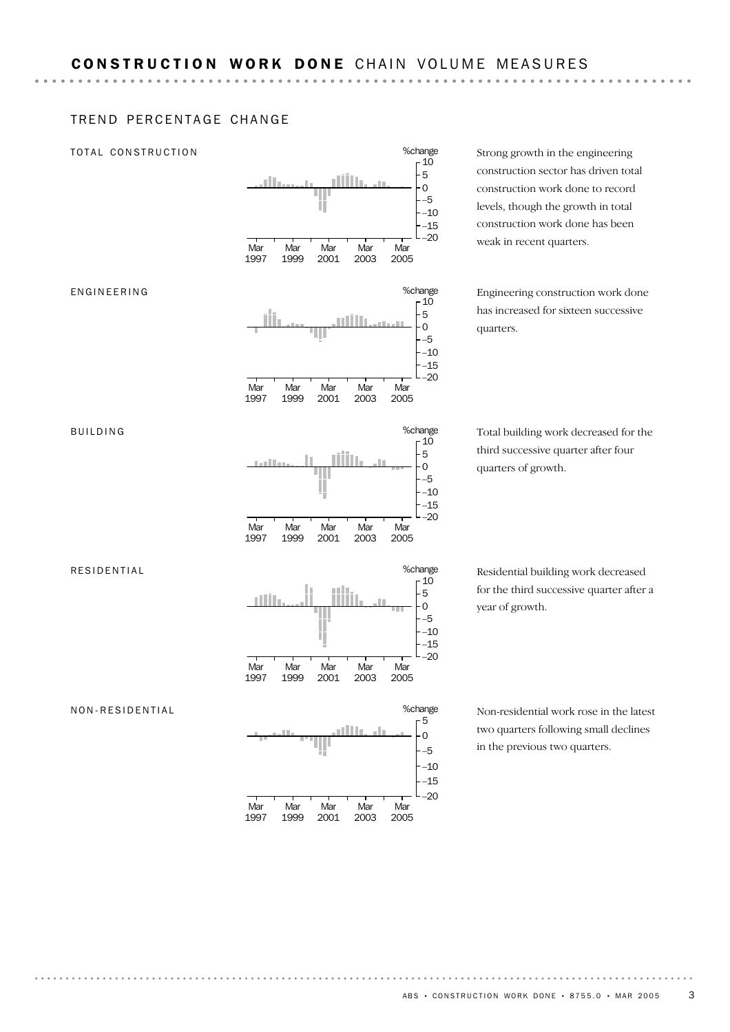## TREND PERCENTAGE CHANGE

#### TOTAL CONSTRUCTION



Strong growth in the engineering construction sector has driven total construction work done to record levels, though the growth in total construction work done has been

Engineering construction work done has increased for sixteen successive quarters.

Total building work decreased for the third successive quarter after four quarters of growth.

Residential building work decreased for the third successive quarter after a year of growth.

Non-residential work rose in the latest two quarters following small declines in the previous two quarters.

#### NON-RESIDENTIAL

RESIDENTIAL

BUILDING

ENGINEERING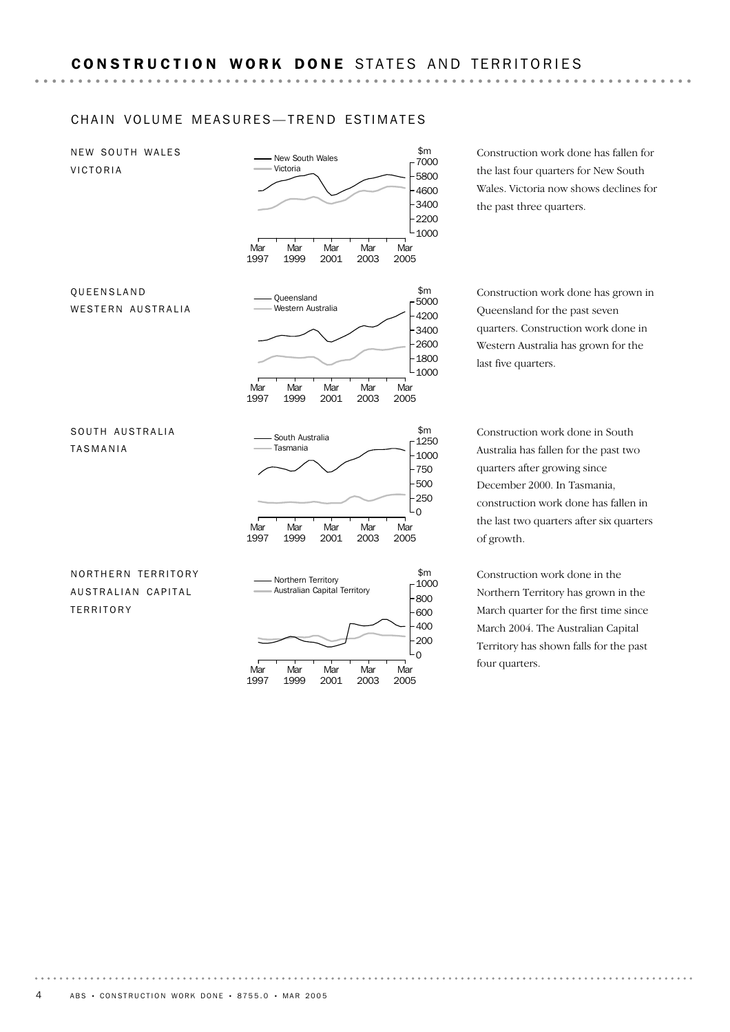#### CHAIN VOLUME MEASURES-TREND ESTIMATES

Mar Mar Mar Mar Mar Mar tour quarters.  $$m$ <br> $1000$  $\Omega$ 200 400 600 800 Northern Territory Australian Capital Territory NORTHERN TERRITORY AUSTRALIAN CAPITAL **TERRITORY** Mar 1997 **Mar** 1999 **Mar** 2001 **Mar** 2003 **Mar** 2005 \$m<br>1250  $\Omega$ 250 500 750 1000 **South Australia** Tasmania SOUTH AUSTRALIA TASMANIA Mar 1997 Mar 1999 Mar 2001 Mar 2003 Mar 2005  $$m$$ 5000 1000 1800 2600 3400 4200 Queensland Western Australia QUEENSLAND WESTERN AUSTRALIA **Mar** 1997 **Mar** 1999 **Mar** 2001 **Mar** 2003 **Mar** 2005 \$m<br>7000 1000 2200 3400 4600 5800 New South Wales Victoria NEW SOUTH WALES VICTORIA

1997

Mar 1999

Mar 2001

Mar 2003

Mar 2005 Construction work done has fallen for the last four quarters for New South Wales. Victoria now shows declines for the past three quarters.

Construction work done has grown in Queensland for the past seven quarters. Construction work done in Western Australia has grown for the last five quarters.

Construction work done in South Australia has fallen for the past two quarters after growing since December 2000. In Tasmania, construction work done has fallen in the last two quarters after six quarters of growth.

Construction work done in the Northern Territory has grown in the March quarter for the first time since March 2004. The Australian Capital Territory has shown falls for the past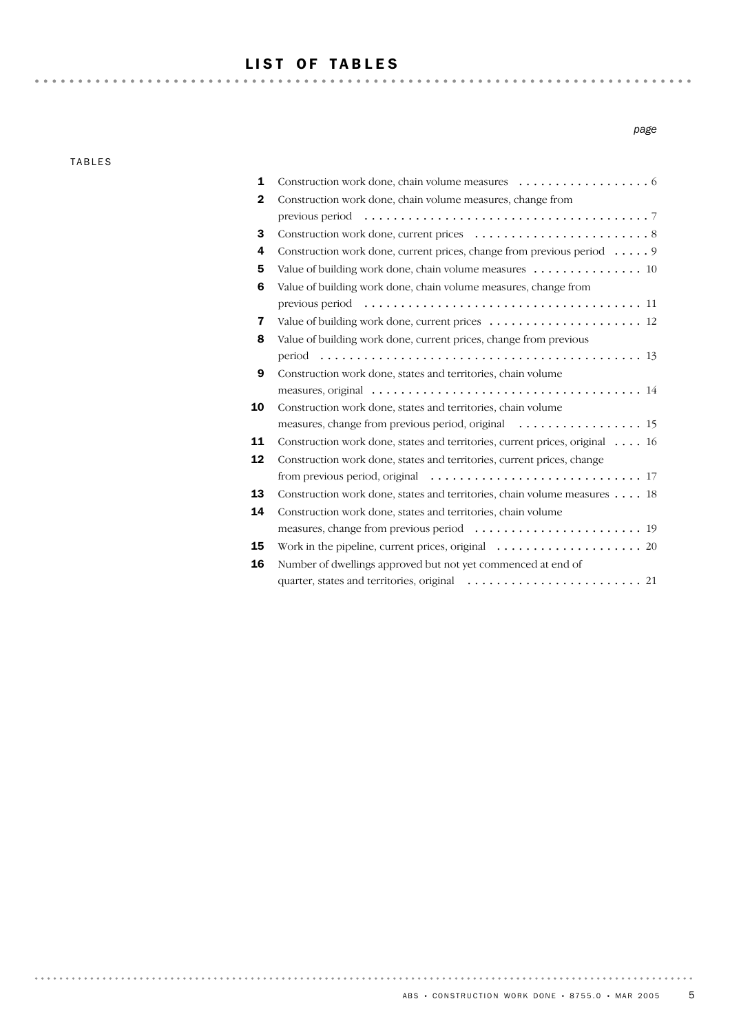## LIST OF TABLES

TABLES

*page*

|    | CONSTRUCTION WORK GOING, CHAIN VOLUME INCASURES $\cdots \cdots \cdots \cdots$                                   |
|----|-----------------------------------------------------------------------------------------------------------------|
| 2  | Construction work done, chain volume measures, change from                                                      |
|    | previous period $\ldots \ldots \ldots \ldots \ldots \ldots \ldots \ldots \ldots \ldots \ldots \ldots$           |
| 3  |                                                                                                                 |
| 4  | Construction work done, current prices, change from previous period 9                                           |
| 5  | Value of building work done, chain volume measures  10                                                          |
| 6  | Value of building work done, chain volume measures, change from                                                 |
|    |                                                                                                                 |
| 7  |                                                                                                                 |
| 8  | Value of building work done, current prices, change from previous                                               |
|    |                                                                                                                 |
| 9  | Construction work done, states and territories, chain volume                                                    |
|    | measures, original $\ldots \ldots \ldots \ldots \ldots \ldots \ldots \ldots \ldots \ldots \ldots \ldots \ldots$ |
| 10 | Construction work done, states and territories, chain volume                                                    |
|    | measures, change from previous period, original $\dots \dots \dots \dots \dots \dots$                           |
| 11 | Construction work done, states and territories, current prices, original 16                                     |
| 12 | Construction work done, states and territories, current prices, change                                          |
|    | from previous period, original $\ldots \ldots \ldots \ldots \ldots \ldots \ldots \ldots \ldots 17$              |
| 13 | Construction work done, states and territories, chain volume measures 18                                        |
| 14 | Construction work done, states and territories, chain volume                                                    |
|    |                                                                                                                 |
| 15 | Work in the pipeline, current prices, original $\ldots \ldots \ldots \ldots \ldots \ldots$ . 20                 |
| 16 | Number of dwellings approved but not yet commenced at end of                                                    |
|    |                                                                                                                 |
|    |                                                                                                                 |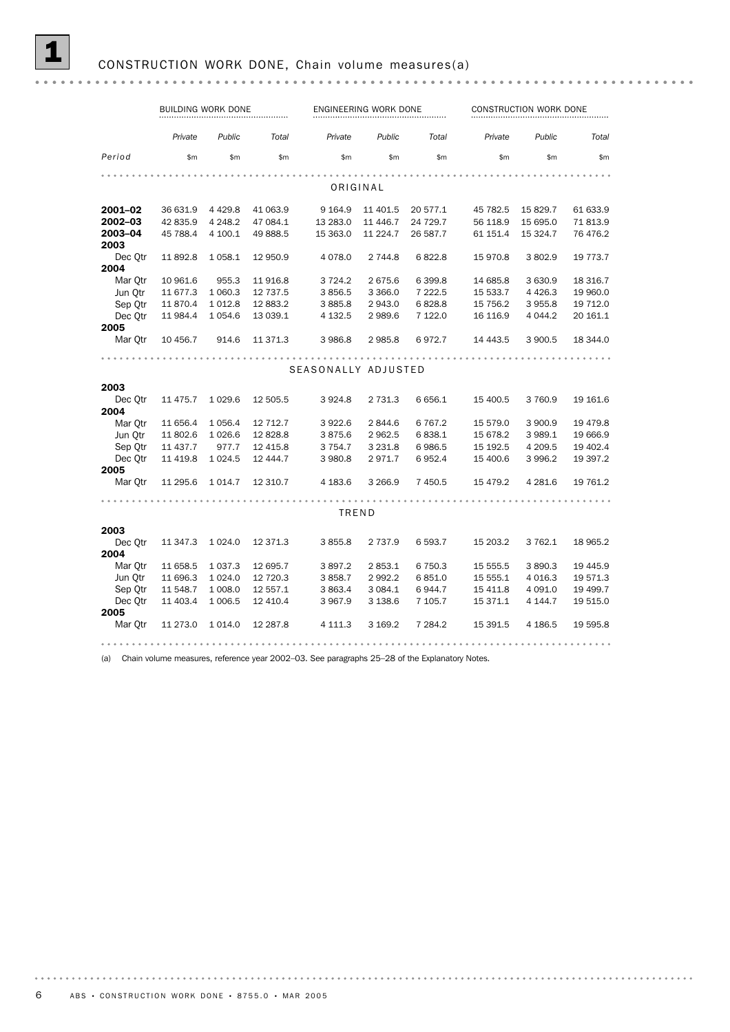|         | BUILDING WORK DONE |             |           |                     | ENGINEERING WORK DONE |           |          | CONSTRUCTION WORK DONE |          |  |  |
|---------|--------------------|-------------|-----------|---------------------|-----------------------|-----------|----------|------------------------|----------|--|--|
|         | Private            | Public      | Total     | Private             | Public                | Total     | Private  | Public                 | Total    |  |  |
| Period  | \$m                | \$m\$       | \$m\$     | \$m\$               | \$m\$                 | \$m\$     | \$m\$    | \$m                    | \$m\$    |  |  |
|         |                    |             |           |                     |                       |           |          |                        |          |  |  |
|         |                    |             |           | ORIGINAL            |                       |           |          |                        |          |  |  |
| 2001–02 | 36 631.9           | 4 4 2 9.8   | 41 063.9  | 9 1 64.9            | 11 401.5              | 20 577.1  | 45 782.5 | 15 829.7               | 61 633.9 |  |  |
| 2002-03 | 42 835.9           | 4 2 4 8.2   | 47 084.1  | 13 283.0            | 11 446.7              | 24 729.7  | 56 118.9 | 15 695.0               | 71 813.9 |  |  |
| 2003-04 | 45 788.4           | 4 100.1     | 49 888.5  | 15 363.0            | 11 224.7              | 26 587.7  | 61 151.4 | 15 324.7               | 76 476.2 |  |  |
| 2003    |                    |             |           |                     |                       |           |          |                        |          |  |  |
| Dec Qtr | 11 892.8           | 1 0 58.1    | 12 950.9  | 4 0 78.0            | 2 744.8               | 6822.8    | 15 970.8 | 3802.9                 | 19 773.7 |  |  |
| 2004    |                    |             |           |                     |                       |           |          |                        |          |  |  |
| Mar Otr | 10 961.6           | 955.3       | 11916.8   | 3 7 2 4 . 2         | 2 675.6               | 6 399.8   | 14 685.8 | 3 630.9                | 18 316.7 |  |  |
| Jun Otr | 11 677.3           | 1 060.3     | 12 737.5  | 3856.5              | 3 3 6 6.0             | 7 2 2 2.5 | 15 533.7 | 4 4 2 6.3              | 19 960.0 |  |  |
| Sep Otr | 11 870.4           | 1 0 1 2.8   | 12 883.2  | 3 885.8             | 2 943.0               | 6828.8    | 15 756.2 | 3 955.8                | 19 712.0 |  |  |
| Dec Otr | 11 984.4           | 1 0 5 4 .6  | 13 039.1  | 4 132.5             | 2 989.6               | 7 122.0   | 16 116.9 | 4 0 4 4.2              | 20 161.1 |  |  |
| 2005    |                    |             |           |                     |                       |           |          |                        |          |  |  |
| Mar Qtr | 10 456.7           | 914.6       | 11 371.3  | 3 986.8             | 2 985.8               | 6972.7    | 14 443.5 | 3 900.5                | 18 344.0 |  |  |
|         |                    |             |           |                     |                       |           |          |                        |          |  |  |
|         |                    |             |           | SEASONALLY ADJUSTED |                       |           |          |                        |          |  |  |
| 2003    |                    |             |           |                     |                       |           |          |                        |          |  |  |
| Dec Qtr | 11 475.7           | 1 0 29.6    | 12 505.5  | 3 9 2 4.8           | 2 7 3 1 . 3           | 6 6 5 6.1 | 15 400.5 | 3 760.9                | 19 161.6 |  |  |
| 2004    |                    |             |           |                     |                       |           |          |                        |          |  |  |
| Mar Qtr | 11 656.4           | 1 0 5 6.4   | 12 712.7  | 3 922.6             | 2844.6                | 6767.2    | 15 579.0 | 3 900.9                | 19 479.8 |  |  |
| Jun Otr | 11 802.6           | 1 0 26.6    | 12 828.8  | 3875.6              | 2 962.5               | 6838.1    | 15 678.2 | 3 989.1                | 19 666.9 |  |  |
| Sep Otr | 11 437.7           | 977.7       | 12 4 15.8 | 3 754.7             | 3 2 3 1.8             | 6986.5    | 15 192.5 | 4 209.5                | 19 402.4 |  |  |
| Dec Otr | 11 419.8           | 1 0 24.5    | 12 444.7  | 3 980.8             | 2971.7                | 6952.4    | 15 400.6 | 3 9 9 6.2              | 19 397.2 |  |  |
| 2005    |                    |             |           |                     |                       |           |          |                        |          |  |  |
| Mar Otr | 11 295.6           | 1 0 1 4.7   | 12 310.7  | 4 183.6             | 3 2 6 6.9             | 7 450.5   | 15 479.2 | 4 2 8 1.6              | 19 761.2 |  |  |
|         |                    |             |           |                     |                       |           |          |                        |          |  |  |
|         |                    |             |           | TREND               |                       |           |          |                        |          |  |  |
| 2003    |                    |             |           |                     |                       |           |          |                        |          |  |  |
| Dec Otr | 11 347.3           | 1 0 24.0    | 12 371.3  | 3855.8              | 2 7 3 7 .9            | 6 593.7   | 15 203.2 | 3 7 6 2.1              | 18 965.2 |  |  |
| 2004    |                    |             |           |                     |                       |           |          |                        |          |  |  |
| Mar Otr | 11 658.5           | 1 0 3 7 . 3 | 12 695.7  | 3897.2              | 2 853.1               | 6 750.3   | 15 555.5 | 3890.3                 | 19 445.9 |  |  |
| Jun Otr | 11 696.3           | 1 0 24.0    | 12 720.3  | 3 858.7             | 2 9 9 2.2             | 6851.0    | 15 555.1 | 4 0 16.3               | 19 571.3 |  |  |
| Sep Qtr | 11 548.7           | 1 008.0     | 12 557.1  | 3 863.4             | 3 0 8 4 . 1           | 6944.7    | 15 411.8 | 4 0 9 1.0              | 19 499.7 |  |  |
| Dec Otr | 11 403.4           | 1 0 0 6.5   | 12 4 10.4 | 3 967.9             | 3 1 38.6              | 7 105.7   | 15 371.1 | 4 144.7                | 19 515.0 |  |  |
| 2005    |                    |             |           |                     |                       |           |          |                        |          |  |  |
| Mar Otr | 11 273.0           | 1 0 1 4 .0  | 12 287.8  | 4 111.3             | 3 169.2               | 7 284.2   | 15 391.5 | 4 186.5                | 19 595.8 |  |  |
|         |                    |             |           |                     |                       |           |          |                        |          |  |  |

(a) Chain volume measures, reference year 2002–03. See paragraphs 25–28 of the Explanatory Notes.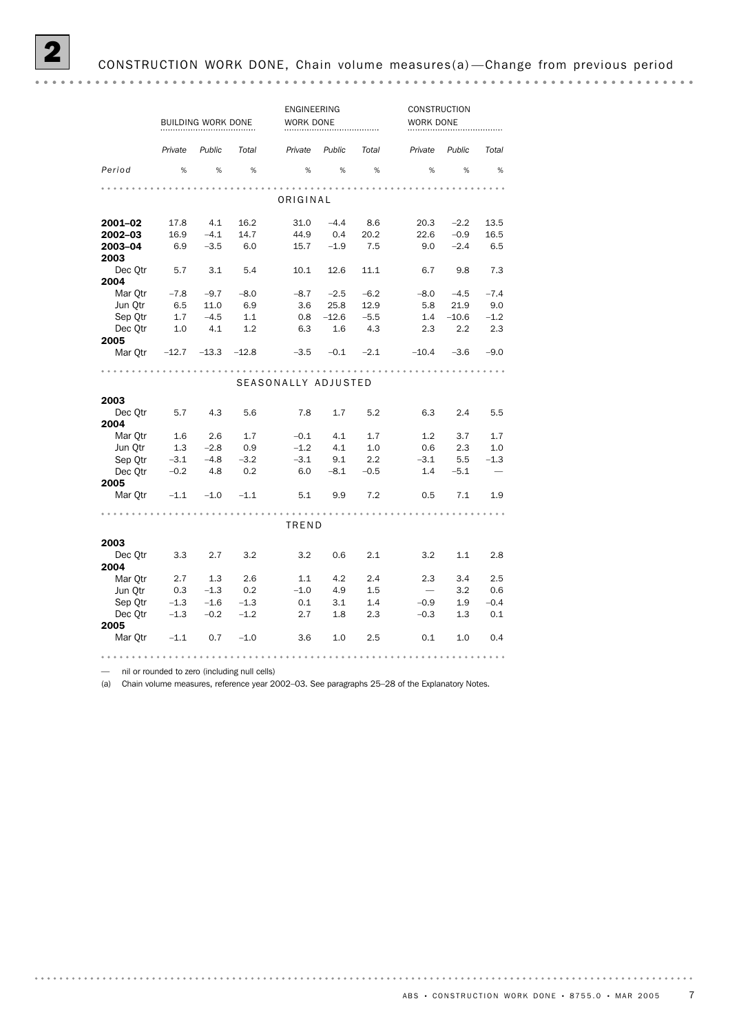|                 | BUILDING WORK DONE |         |         | ENGINEERING<br>WORK DONE |         |        | <b>CONSTRUCTION</b><br>WORK DONE |         |        |
|-----------------|--------------------|---------|---------|--------------------------|---------|--------|----------------------------------|---------|--------|
|                 | Private            | Public  | Total   | Private                  | Public  | Total  | Private                          | Public  | Total  |
| Period          | %                  | %       | %       | %                        | %       | %      | %                                | %       | %      |
|                 |                    |         |         |                          |         |        |                                  |         |        |
|                 |                    |         |         | ORIGINAL                 |         |        |                                  |         |        |
| 2001-02         | 17.8               | 4.1     | 16.2    | 31.0                     | $-4.4$  | 8.6    | 20.3                             | $-2.2$  | 13.5   |
| 2002-03         | 16.9               | $-4.1$  | 14.7    | 44.9                     | 0.4     | 20.2   | 22.6                             | $-0.9$  | 16.5   |
| 2003-04<br>2003 | 6.9                | $-3.5$  | 6.0     | 15.7                     | $-1.9$  | 7.5    | 9.0                              | $-2.4$  | 6.5    |
| Dec Otr         | 5.7                | 3.1     | 5.4     | 10.1                     | 12.6    | 11.1   | 6.7                              | 9.8     | 7.3    |
| 2004            |                    |         |         |                          |         |        |                                  |         |        |
| Mar Otr         | $-7.8$             | $-9.7$  | $-8.0$  | $-8.7$                   | $-2.5$  | $-6.2$ | $-8.0$                           | $-4.5$  | $-7.4$ |
| Jun Otr         | 6.5                | 11.0    | 6.9     | 3.6                      | 25.8    | 12.9   | 5.8                              | 21.9    | 9.0    |
| Sep Qtr         | 1.7                | $-4.5$  | 1.1     | 0.8                      | $-12.6$ | $-5.5$ | 1.4                              | $-10.6$ | $-1.2$ |
| Dec Otr         | 1.0                | 4.1     | 1.2     | 6.3                      | 1.6     | 4.3    | 2.3                              | 2.2     | 2.3    |
| 2005<br>Mar Qtr | $-12.7$            | $-13.3$ | $-12.8$ | $-3.5$                   | $-0.1$  | $-2.1$ | $-10.4$                          | $-3.6$  | $-9.0$ |
|                 |                    |         |         |                          |         |        |                                  |         |        |
|                 |                    |         |         | SEASONALLY ADJUSTED      |         |        |                                  |         |        |
| 2003            |                    |         |         |                          |         |        |                                  |         |        |
| Dec Qtr<br>2004 | 5.7                | 4.3     | 5.6     | 7.8                      | 1.7     | 5.2    | 6.3                              | 2.4     | 5.5    |
| Mar Otr         | 1.6                | 2.6     | 1.7     | $-0.1$                   | 4.1     | 1.7    | 1.2                              | 3.7     | 1.7    |
| Jun Otr         | 1.3                | $-2.8$  | 0.9     | $-1.2$                   | 4.1     | 1.0    | 0.6                              | 2.3     | 1.0    |
| Sep Otr         | $-3.1$             | $-4.8$  | $-3.2$  | $-3.1$                   | 9.1     | 2.2    | $-3.1$                           | 5.5     | $-1.3$ |
| Dec Otr         | $-0.2$             | 4.8     | 0.2     | 6.0                      | $-8.1$  | $-0.5$ | 1.4                              | $-5.1$  |        |
| 2005            |                    |         |         |                          |         |        |                                  |         |        |
| Mar Otr         | $-1.1$             | $-1.0$  | $-1.1$  | 5.1                      | 9.9     | 7.2    | 0.5                              | 7.1     | 1.9    |
|                 |                    |         |         | TREND                    |         |        |                                  |         |        |
|                 |                    |         |         |                          |         |        |                                  |         |        |
| 2003            |                    |         |         |                          |         |        |                                  |         |        |
| Dec Otr<br>2004 | 3.3                | 2.7     | 3.2     | 3.2                      | 0.6     | 2.1    | 3.2                              | 1.1     | 2.8    |
| Mar Otr         | 2.7                | 1.3     | 2.6     | 1.1                      | 4.2     | 2.4    | 2.3                              | 3.4     | 2.5    |
| Jun Otr         | 0.3                | $-1.3$  | 0.2     | $-1.0$                   | 4.9     | 1.5    | $\overline{\phantom{0}}$         | 3.2     | 0.6    |
| Sep Qtr         | $-1.3$             | $-1.6$  | $-1.3$  | 0.1                      | 3.1     | 1.4    | $-0.9$                           | 1.9     | $-0.4$ |
| Dec Otr<br>2005 | $-1.3$             | $-0.2$  | $-1.2$  | 2.7                      | 1.8     | 2.3    | $-0.3$                           | 1.3     | 0.1    |
| Mar Otr         | $-1.1$             | 0.7     | $-1.0$  | 3.6                      | 1.0     | 2.5    | 0.1                              | 1.0     | 0.4    |
|                 |                    |         |         |                          |         |        |                                  |         |        |

— nil or rounded to zero (including null cells)

(a) Chain volume measures, reference year 2002–03. See paragraphs 25–28 of the Explanatory Notes.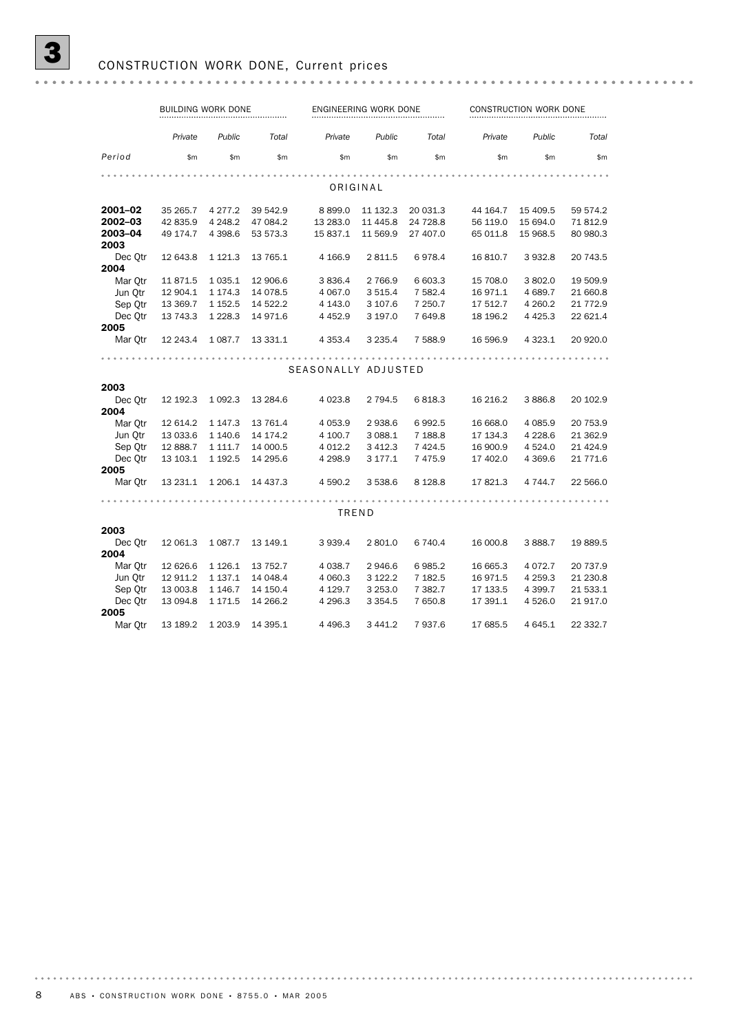|         | <b>BUILDING WORK DONE</b> |             |          |                     | ENGINEERING WORK DONE |            |          | CONSTRUCTION WORK DONE |           |  |  |
|---------|---------------------------|-------------|----------|---------------------|-----------------------|------------|----------|------------------------|-----------|--|--|
|         | Private                   | Public      | Total    | Private             | Public                | Total      | Private  | Public                 | Total     |  |  |
| Period  | \$m\$                     | \$m\$       | \$m\$    | \$m                 | \$m\$                 | \$m        | \$m\$    | \$m\$                  | \$m\$     |  |  |
|         |                           |             |          |                     |                       |            |          |                        |           |  |  |
|         |                           |             |          |                     | ORIGINAL              |            |          |                        |           |  |  |
| 2001-02 | 35 265.7                  | 4 2 7 7 . 2 | 39 542.9 | 8899.0              | 11 132.3              | 20 031.3   | 44 164.7 | 15 409.5               | 59 574.2  |  |  |
| 2002–03 | 42 835.9                  | 4 2 4 8.2   | 47 084.2 | 13 283.0            | 11 445.8              | 24 728.8   | 56 119.0 | 15 694.0               | 71812.9   |  |  |
| 2003-04 | 49 174.7                  | 4 3 9 8.6   | 53 573.3 | 15 837.1            | 11 569.9              | 27 407.0   | 65 011.8 | 15 968.5               | 80 980.3  |  |  |
| 2003    |                           |             |          |                     |                       |            |          |                        |           |  |  |
| Dec Qtr | 12 643.8                  | 1 1 2 1 . 3 | 13 765.1 | 4 1 66.9            | 2 811.5               | 6978.4     | 16 810.7 | 3 9 3 2.8              | 20 743.5  |  |  |
| 2004    |                           |             |          |                     |                       |            |          |                        |           |  |  |
| Mar Qtr | 11871.5                   | 1 0 3 5.1   | 12 906.6 | 3 8 3 6.4           | 2 766.9               | 6 603.3    | 15 708.0 | 3 802.0                | 19 509.9  |  |  |
| Jun Qtr | 12 904.1                  | 1 174.3     | 14 078.5 | 4 0 67.0            | 3 5 1 5.4             | 7 582.4    | 16 971.1 | 4 689.7                | 21 660.8  |  |  |
| Sep Otr | 13 369.7                  | 1 1 5 2.5   | 14 522.2 | 4 143.0             | 3 107.6               | 7 250.7    | 17 512.7 | 4 2 6 0.2              | 21 772.9  |  |  |
| Dec Otr | 13 743.3                  | 1 2 2 8 . 3 | 14 971.6 | 4 4 5 2.9           | 3 197.0               | 7 649.8    | 18 196.2 | 4 4 2 5 . 3            | 22 621.4  |  |  |
| 2005    |                           |             |          |                     |                       |            |          |                        |           |  |  |
| Mar Otr | 12 243.4                  | 1 0 8 7 . 7 | 13 331.1 | 4 3 5 3 . 4         | 3 2 3 5.4             | 7 588.9    | 16 596.9 | 4 3 2 3 . 1            | 20 920.0  |  |  |
|         |                           |             |          |                     |                       |            |          |                        |           |  |  |
|         |                           |             |          | SEASONALLY ADJUSTED |                       |            |          |                        |           |  |  |
|         |                           |             |          |                     |                       |            |          |                        |           |  |  |
| 2003    |                           |             |          |                     |                       |            |          |                        |           |  |  |
| Dec Otr | 12 192.3                  | 1 0 9 2.3   | 13 284.6 | 4 0 23.8            | 2 7 9 4 .5            | 6818.3     | 16 216.2 | 3886.8                 | 20 102.9  |  |  |
| 2004    |                           |             |          |                     |                       |            |          |                        |           |  |  |
| Mar Qtr | 12 614.2                  | 1 1 4 7 . 3 | 13 761.4 | 4 0 5 3.9           | 2 938.6               | 6992.5     | 16 668.0 | 4 085.9                | 20 753.9  |  |  |
| Jun Qtr | 13 033.6                  | 1 140.6     | 14 174.2 | 4 100.7             | 3 088.1               | 7 188.8    | 17 134.3 | 4 2 28.6               | 21 362.9  |  |  |
| Sep Qtr | 12 888.7                  | 1 1 1 1 .7  | 14 000.5 | 4 0 12.2            | 3 4 1 2.3             | 7 4 2 4 .5 | 16 900.9 | 4 5 24.0               | 21 4 24.9 |  |  |
| Dec Otr | 13 103.1                  | 1 1 9 2.5   | 14 295.6 | 4 2 9 8.9           | 3 177.1               | 7 4 7 5.9  | 17 402.0 | 4 3 6 9.6              | 21 771.6  |  |  |
| 2005    |                           |             |          |                     |                       |            |          |                        |           |  |  |
| Mar Otr | 13 231.1                  | 1 206.1     | 14 437.3 | 4 590.2             | 3 538.6               | 8 1 28.8   | 17 821.3 | 4 744.7                | 22 566.0  |  |  |
|         |                           |             |          |                     |                       |            |          |                        |           |  |  |
|         |                           |             |          | TREND               |                       |            |          |                        |           |  |  |
| 2003    |                           |             |          |                     |                       |            |          |                        |           |  |  |
| Dec Otr | 12 061.3                  | 1 0 8 7 . 7 | 13 149.1 | 3 939.4             | 2 801.0               | 6 740.4    | 16 000.8 | 3 888.7                | 19889.5   |  |  |
| 2004    |                           |             |          |                     |                       |            |          |                        |           |  |  |
| Mar Otr | 12 626.6                  | 1 1 2 6 . 1 | 13 752.7 | 4 0 38.7            | 2946.6                | 6985.2     | 16 665.3 | 4 0 7 2.7              | 20 737.9  |  |  |
| Jun Otr | 12 911.2                  | 1 1 3 7 . 1 | 14 048.4 | 4 060.3             | 3 122.2               | 7 182.5    | 16 971.5 | 4 259.3                | 21 230.8  |  |  |
| Sep Otr | 13 003.8                  | 1 1 4 6 . 7 | 14 150.4 | 4 1 29.7            | 3 253.0               | 7 3 8 2.7  | 17 133.5 | 4 3 9 9.7              | 21 533.1  |  |  |
| Dec Otr | 13 094.8                  | 1 171.5     | 14 266.2 | 4 296.3             | 3 3 5 4 . 5           | 7 650.8    | 17 391.1 | 4 5 2 6.0              | 21 917.0  |  |  |
| 2005    |                           |             |          |                     |                       |            |          |                        |           |  |  |
| Mar Otr | 13 189.2                  | 1 203.9     | 14 395.1 | 4 4 9 6.3           | 3 4 4 1.2             | 7937.6     | 17 685.5 | 4 645.1                | 22 332.7  |  |  |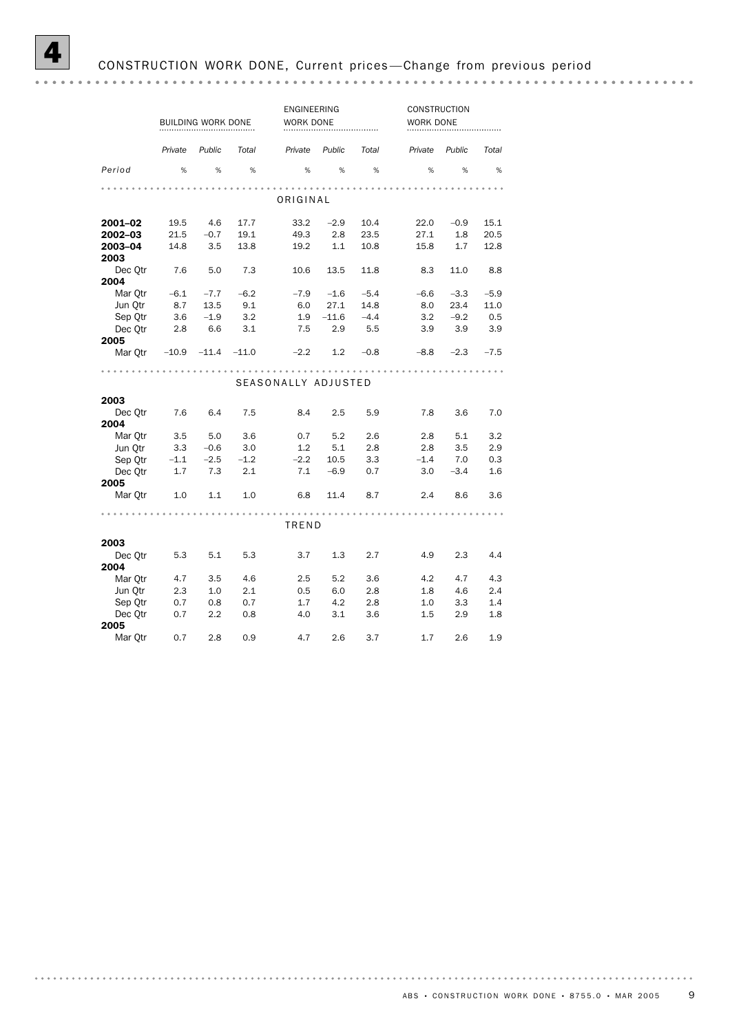|                 |                         | BUILDING WORK DONE |             | ENGINEERING<br>WORK DONE |              |           | CONSTRUCTION<br>WORK DONE |        |        |
|-----------------|-------------------------|--------------------|-------------|--------------------------|--------------|-----------|---------------------------|--------|--------|
|                 | Private                 | Public             | Total       | Private                  | Public       | Total     | Private                   | Public | Total  |
| Period          | %                       | %                  | %           | %                        | %            | %         | %                         | %      | %      |
|                 |                         |                    |             | ORIGINAL                 |              |           |                           |        |        |
|                 |                         |                    |             |                          |              |           |                           |        |        |
| 2001-02         | 19.5                    | 4.6                | 17.7        | 33.2                     | $-2.9$       | 10.4      | 22.0                      | $-0.9$ | 15.1   |
| 2002-03         | 21.5                    | $-0.7$             | 19.1        | 49.3                     | 2.8          | 23.5      | 27.1                      | 1.8    | 20.5   |
| 2003-04         | 14.8                    | 3.5                | 13.8        | 19.2                     | 1.1          | 10.8      | 15.8                      | 1.7    | 12.8   |
| 2003            |                         |                    |             |                          |              |           |                           |        |        |
| Dec Qtr         | 7.6                     | 5.0                | 7.3         | 10.6                     | 13.5         | 11.8      | 8.3                       | 11.0   | 8.8    |
| 2004            |                         |                    |             |                          |              |           |                           |        |        |
| Mar Qtr         | $-6.1$                  | $-7.7$             | $-6.2$      | $-7.9$                   | $-1.6$       | $-5.4$    | $-6.6$                    | $-3.3$ | $-5.9$ |
| Jun Otr         | 8.7                     | 13.5               | 9.1         | 6.0                      | 27.1         | 14.8      | 8.0                       | 23.4   | 11.0   |
| Sep Otr         | 3.6                     | $-1.9$             | 3.2         | 1.9                      | $-11.6 -4.4$ |           | 3.2                       | $-9.2$ | 0.5    |
| Dec Qtr         | 2.8                     | 6.6                | 3.1         | 7.5                      |              | $2.9$ 5.5 | 3.9                       | 3.9    | 3.9    |
| 2005<br>Mar Otr | $-10.9$ $-11.4$ $-11.0$ |                    |             | $-2.2$                   | 1.2          | $-0.8$    | -8.8                      | $-2.3$ | $-7.5$ |
|                 |                         |                    |             |                          |              |           |                           |        |        |
|                 |                         |                    |             | SEASONALLY ADJUSTED      |              |           |                           | .      |        |
| 2003            |                         |                    |             |                          |              |           |                           |        |        |
| Dec Otr         | 7.6                     | 6.4                | 7.5         | 8.4                      | 2.5          | 5.9       | 7.8                       | 3.6    | 7.0    |
| 2004            |                         |                    |             |                          |              |           |                           |        |        |
| Mar Otr         | 3.5                     | 5.0                | 3.6         | 0.7                      | 5.2          | 2.6       | 2.8                       | 5.1    | 3.2    |
| Jun Otr         | 3.3                     | $-0.6$             | 3.0         | 1.2                      | 5.1          | 2.8       | 2.8                       | 3.5    | 2.9    |
| Sep Otr         | $-1.1$                  |                    | $-2.5 -1.2$ | $-2.2$                   | 10.5         | 3.3       | $-1.4$                    | 7.0    | 0.3    |
| Dec Otr         | 1.7                     | 7.3                | 2.1         | 7.1                      | $-6.9$       | 0.7       | 3.0                       | $-3.4$ | 1.6    |
| 2005            |                         |                    |             |                          |              |           |                           |        |        |
| Mar Qtr         | 1.0                     | 1.1                | 1.0         | 6.8                      | 11.4         | 8.7       | 2.4                       | 8.6    | 3.6    |
|                 |                         | .                  |             |                          |              |           |                           |        |        |
|                 |                         |                    |             | TREND                    |              |           |                           |        |        |
| 2003            |                         |                    |             |                          |              |           |                           |        |        |
| Dec Otr         | 5.3                     | 5.1                | 5.3         | 3.7                      | 1.3          | 2.7       | 4.9                       | 2.3    | 4.4    |
| 2004            |                         |                    |             |                          |              |           |                           |        |        |
| Mar Otr         | 4.7                     | 3.5                | 4.6         | 2.5                      | 5.2          | 3.6       | 4.2                       | 4.7    | 4.3    |
| Jun Otr         | 2.3                     | 1.0                | 2.1         | 0.5                      | 6.0          | 2.8       | 1.8                       | 4.6    | 2.4    |
| Sep Otr         | 0.7                     | 0.8                | 0.7         | 1.7                      | 4.2          | 2.8       | 1.0                       | 3.3    | 1.4    |
| Dec Otr         | 0.7                     | 2.2                | 0.8         | 4.0                      | 3.1          | 3.6       | 1.5                       | 2.9    | 1.8    |
| 2005            |                         |                    |             |                          |              |           |                           |        |        |
| Mar Qtr         | 0.7                     | 2.8                | 0.9         | 4.7                      | 2.6          | 3.7       | 1.7                       | 2.6    | 1.9    |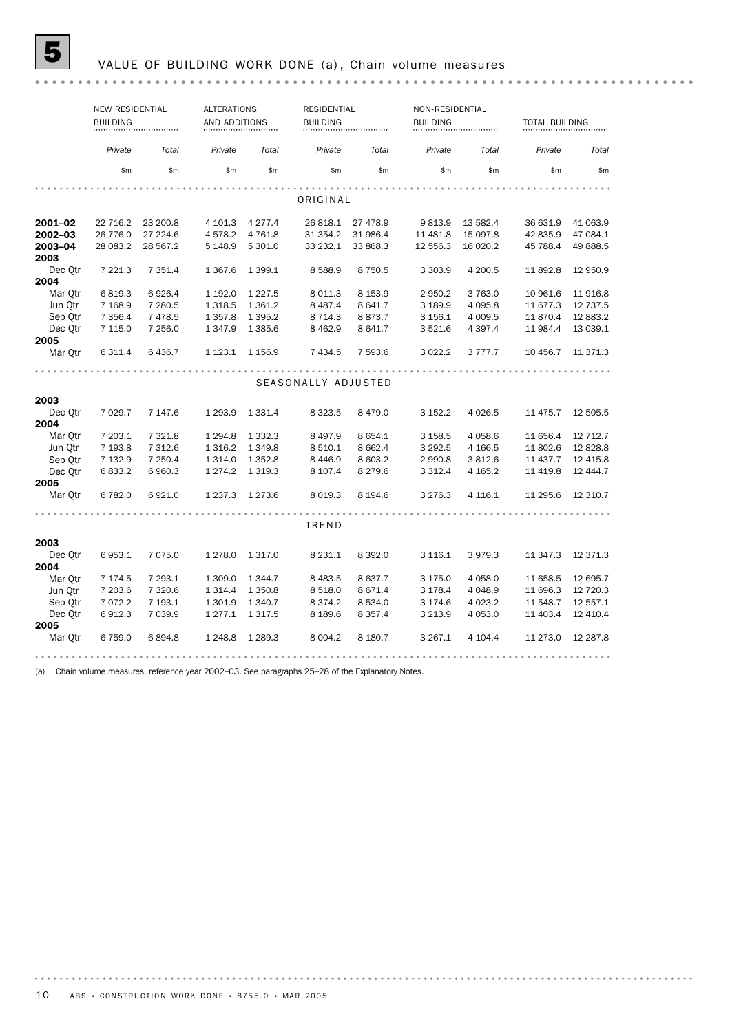# **5** VALUE OF BUILDING WORK DONE (a), Chain volume measures

|         | <b>NEW RESIDENTIAL</b> |           | <b>ALTERATIONS</b> |             | <b>RESIDENTIAL</b>  |             | NON-RESIDENTIAL |             |                       |           |
|---------|------------------------|-----------|--------------------|-------------|---------------------|-------------|-----------------|-------------|-----------------------|-----------|
|         | <b>BUILDING</b>        |           | AND ADDITIONS      |             | <b>BUILDING</b>     |             | <b>BUILDING</b> |             | <b>TOTAL BUILDING</b> |           |
|         |                        |           |                    |             |                     |             |                 |             |                       |           |
|         | Private                | Total     | Private            | Total       | Private             | Total       | Private         | Total       | Private               | Total     |
|         | \$m                    | \$m\$     | \$m                | \$m         | \$m                 | \$m         | \$m             | \$m         | \$m                   | \$m       |
|         |                        |           |                    |             |                     |             |                 |             |                       |           |
|         |                        |           |                    |             | ORIGINAL            |             |                 |             |                       |           |
| 2001-02 | 22 716.2               | 23 200.8  | 4 101.3            | 4 2 7 7 . 4 | 26 818.1            | 27 478.9    | 9813.9          | 13 582.4    | 36 631.9              | 41 063.9  |
| 2002-03 | 26 776.0               | 27 224.6  | 4578.2             | 4 7 6 1.8   | 31 354.2            | 31 986.4    | 11 481.8        | 15 097.8    | 42 835.9              | 47 084.1  |
| 2003-04 | 28 083.2               | 28 567.2  | 5 1 4 8.9          | 5 301.0     | 33 232.1            | 33 868.3    | 12 556.3        | 16 020.2    | 45 788.4              | 49 888.5  |
| 2003    |                        |           |                    |             |                     |             |                 |             |                       |           |
| Dec Otr | 7 221.3                | 7 3 5 1.4 | 1 3 6 7 . 6        | 1 3 9 9.1   | 8588.9              | 8 7 5 0.5   | 3 3 0 3.9       | 4 200.5     | 11 892.8              | 12 950.9  |
| 2004    |                        |           |                    |             |                     |             |                 |             |                       |           |
| Mar Otr | 6819.3                 | 6926.4    | 1 192.0            | 1 2 2 7 .5  | 8 0 1 1.3           | 8 1 5 3.9   | 2 9 5 0.2       | 3763.0      | 10 961.6              | 11916.8   |
| Jun Otr | 7 1 68.9               | 7 280.5   | 1 3 1 8 .5         | 1 3 6 1 . 2 | 8 4 8 7 . 4         | 8 641.7     | 3 189.9         | 4 0 9 5.8   | 11 677.3              | 12 737.5  |
| Sep Qtr | 7 3 5 6.4              | 7478.5    | 1 3 5 7 . 8        | 1 3 9 5.2   | 8 7 1 4 . 3         | 8873.7      | 3 156.1         | 4 009.5     | 11870.4               | 12 883.2  |
| Dec Otr | 7 115.0                | 7 256.0   | 1 3 4 7 .9         | 1 3 8 5.6   | 8 4 6 2.9           | 8 641.7     | 3521.6          | 4 3 9 7.4   | 11 984.4              | 13 039.1  |
| 2005    |                        |           |                    |             |                     |             |                 |             |                       |           |
| Mar Qtr | 6 311.4                | 6 436.7   | 1 1 2 3 . 1        | 1 1 5 6 . 9 | 7 434.5             | 7 593.6     | 3 0 2 2.2       | 3 7 7 7 . 7 | 10 456.7              | 11 371.3  |
|         |                        |           |                    |             |                     |             |                 |             |                       |           |
|         |                        |           |                    |             | SEASONALLY ADJUSTED |             |                 |             |                       |           |
| 2003    |                        |           |                    |             |                     |             |                 |             |                       |           |
| Dec Otr | 7 0 29.7               | 7 147.6   | 1 2 9 3 . 9        | 1 3 3 1 . 4 | 8 3 2 3 .5          | 8479.0      | 3 152.2         | 4 0 26.5    | 11 475.7              | 12 505.5  |
| 2004    |                        |           |                    |             |                     |             |                 |             |                       |           |
| Mar Otr | 7 203.1                | 7 3 2 1.8 | 1 2 9 4.8          | 1 3 3 2 . 3 | 8 4 9 7.9           | 8 6 5 4.1   | 3 1 58.5        | 4 0 58.6    | 11 656.4              | 12 712.7  |
| Jun Otr | 7 193.8                | 7 312.6   | 1 3 1 6 . 2        | 1 3 4 9.8   | 8 5 10.1            | 8 6 6 2.4   | 3 2 9 2.5       | 4 166.5     | 11 802.6              | 12828.8   |
| Sep Otr | 7 132.9                | 7 250.4   | 1 3 1 4 .0         | 1 3 5 2.8   | 8446.9              | 8 603.2     | 2 990.8         | 3812.6      | 11 437.7              | 12 4 15.8 |
| Dec Otr | 6833.2                 | 6960.3    | 1 2 7 4 . 2        | 1 3 1 9 . 3 | 8 107.4             | 8 2 7 9 . 6 | 3 3 1 2 . 4     | 4 165.2     | 11 4 19.8             | 12 444.7  |
| 2005    |                        |           |                    |             |                     |             |                 |             |                       |           |
| Mar Qtr | 6 782.0                | 6921.0    | 1 2 3 7 . 3        | 1 2 7 3 . 6 | 8 0 19.3            | 8 194.6     | 3 2 7 6 . 3     | 4 1 1 6 . 1 | 11 295.6              | 12 310.7  |
|         |                        |           |                    |             |                     |             |                 |             |                       |           |
|         |                        |           |                    |             | TREND               |             |                 |             |                       |           |
| 2003    |                        |           |                    |             |                     |             |                 |             |                       |           |
| Dec Otr | 6953.1                 | 7 075.0   | 1 2 7 8 .0         | 1 3 1 7 .0  | 8 2 3 1.1           | 8 3 9 2.0   | 3 1 1 6 . 1     | 3979.3      | 11 347.3              | 12 371.3  |
| 2004    |                        |           |                    |             |                     |             |                 |             |                       |           |
| Mar Otr | 7 174.5                | 7 293.1   | 1 309.0            | 1 3 4 4.7   | 8 4 8 3.5           | 8 637.7     | 3 175.0         | 4 0 58.0    | 11 658.5              | 12 695.7  |
| Jun Otr | 7 203.6                | 7 3 2 0.6 | 1 3 1 4 .4         | 1 350.8     | 8 5 18.0            | 8 671.4     | 3 178.4         | 4 0 48.9    | 11 696.3              | 12 720.3  |
| Sep Qtr | 7 072.2                | 7 193.1   | 1 301.9            | 1 340.7     | 8 3 7 4 . 2         | 8 5 3 4 . 0 | 3 174.6         | 4 0 23.2    | 11 548.7              | 12 557.1  |
| Dec Otr | 6912.3                 | 7 0 3 9.9 | 1 277.1            | 1 3 1 7 .5  | 8 1 8 9.6           | 8 3 5 7.4   | 3 2 1 3 . 9     | 4 0 5 3.0   | 11 403.4              | 12 410.4  |
| 2005    |                        |           |                    |             |                     |             |                 |             |                       |           |
| Mar Qtr | 6 759.0                | 6894.8    | 1 2 4 8.8          | 1 2 8 9.3   | 8 0 0 4.2           | 8 180.7     | 3 2 6 7 . 1     | 4 104.4     | 11 273.0              | 12 287.8  |
|         |                        |           |                    |             |                     |             |                 |             |                       |           |

(a) Chain volume measures, reference year 2002–03. See paragraphs 25–28 of the Explanatory Notes.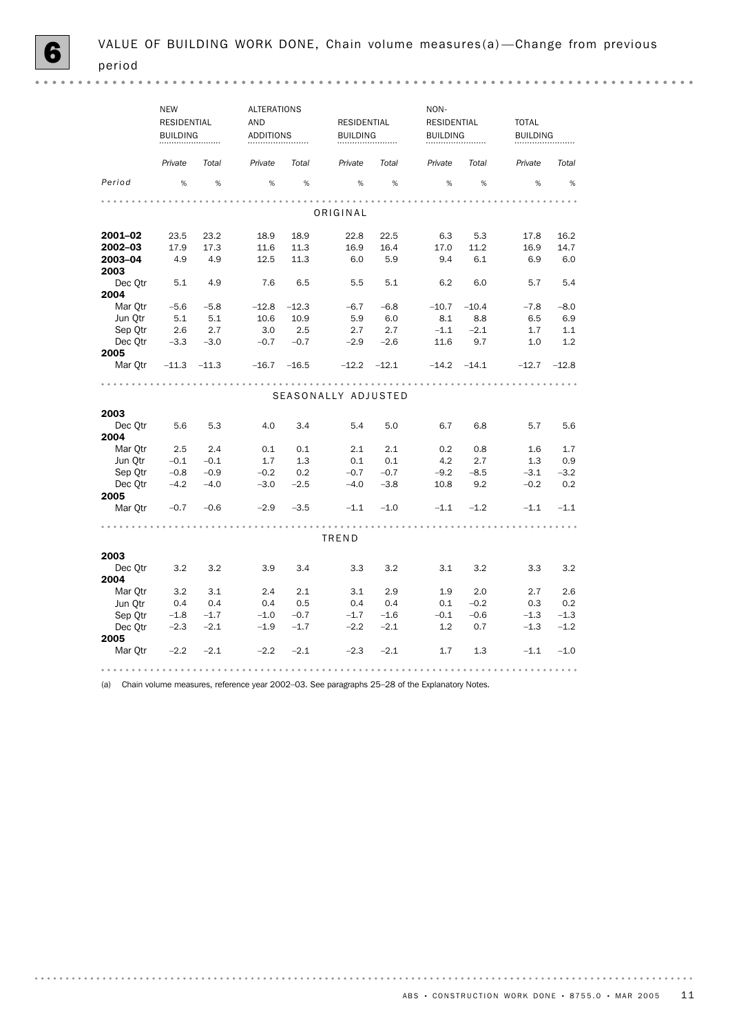|         | <b>NEW</b><br><b>RESIDENTIAL</b><br><b>BUILDING</b> |         | <b>AND</b> | ALTERATIONS<br><b>ADDITIONS</b> |                     | <b>RESIDENTIAL</b><br><b>BUILDING</b> |         |                 | <b>TOTAL</b> | <b>BUILDING</b> |  |
|---------|-----------------------------------------------------|---------|------------|---------------------------------|---------------------|---------------------------------------|---------|-----------------|--------------|-----------------|--|
|         | Private                                             | Total   | Private    | Total                           | Private             | Total                                 | Private | Total           | Private      | Total           |  |
| Period  | $\%$                                                | %       | %          | %                               | %                   | %                                     | %       | %               | %            | $\%$            |  |
|         |                                                     |         |            |                                 | ORIGINAL            |                                       |         |                 |              |                 |  |
|         |                                                     |         |            |                                 |                     |                                       |         |                 |              |                 |  |
| 2001-02 | 23.5                                                | 23.2    | 18.9       | 18.9                            | 22.8                | 22.5                                  | 6.3     | 5.3             | 17.8         | 16.2            |  |
| 2002–03 | 17.9                                                | 17.3    | 11.6       | 11.3                            | 16.9                | 16.4                                  | 17.0    | 11.2            | 16.9         | 14.7            |  |
| 2003-04 | 4.9                                                 | 4.9     | 12.5       | 11.3                            | 6.0                 | 5.9                                   | 9.4     | 6.1             | 6.9          | 6.0             |  |
| 2003    |                                                     |         |            |                                 |                     |                                       |         |                 |              |                 |  |
| Dec Qtr | 5.1                                                 | 4.9     | 7.6        | 6.5                             | 5.5                 | 5.1                                   | 6.2     | 6.0             | 5.7          | 5.4             |  |
| 2004    |                                                     |         |            |                                 |                     |                                       |         |                 |              |                 |  |
| Mar Otr | $-5.6$                                              | $-5.8$  | $-12.8$    | $-12.3$                         | $-6.7$              | $-6.8$                                | $-10.7$ | $-10.4$         | $-7.8$       | $-8.0$          |  |
| Jun Qtr | 5.1                                                 | 5.1     | 10.6       | 10.9                            | 5.9                 | 6.0                                   | 8.1     | 8.8             | 6.5          | 6.9             |  |
| Sep Qtr | 2.6                                                 | 2.7     | 3.0        | 2.5                             | 2.7                 | 2.7                                   | $-1.1$  | $-2.1$          | 1.7          | 1.1             |  |
| Dec Otr | $-3.3$                                              | $-3.0$  | $-0.7$     | $-0.7$                          | $-2.9$              | $-2.6$                                | 11.6    | 9.7             | 1.0          | 1.2             |  |
| 2005    |                                                     |         |            |                                 |                     |                                       |         |                 |              |                 |  |
| Mar Qtr | $-11.3$                                             | $-11.3$ | $-16.7$    | $-16.5$                         | $-12.2$             | $-12.1$                               |         | $-14.2$ $-14.1$ | $-12.7$      | $-12.8$         |  |
|         |                                                     |         |            |                                 | SEASONALLY ADJUSTED |                                       |         |                 |              |                 |  |
|         |                                                     |         |            |                                 |                     |                                       |         |                 |              |                 |  |
| 2003    |                                                     |         |            |                                 |                     |                                       |         |                 |              |                 |  |
| Dec Otr | 5.6                                                 | 5.3     | 4.0        | 3.4                             | 5.4                 | 5.0                                   | 6.7     | 6.8             | 5.7          | 5.6             |  |
| 2004    |                                                     |         |            |                                 |                     |                                       |         |                 |              |                 |  |
| Mar Otr | 2.5                                                 | 2.4     | 0.1        | 0.1                             | 2.1                 | 2.1                                   | 0.2     | 0.8             | 1.6          | 1.7             |  |
| Jun Qtr | $-0.1$                                              | $-0.1$  | 1.7        | 1.3                             | 0.1                 | 0.1                                   | 4.2     | 2.7             | 1.3          | 0.9             |  |
| Sep Otr | $-0.8$                                              | $-0.9$  | $-0.2$     | 0.2                             | $-0.7$              | $-0.7$                                | $-9.2$  | $-8.5$          | $-3.1$       | $-3.2$          |  |
| Dec Qtr | $-4.2$                                              | $-4.0$  | $-3.0$     | $-2.5$                          | $-4.0$              | $-3.8$                                | 10.8    | 9.2             | $-0.2$       | 0.2             |  |
| 2005    |                                                     |         |            |                                 |                     |                                       |         |                 |              |                 |  |
| Mar Otr | $-0.7$                                              | $-0.6$  | $-2.9$     | $-3.5$                          | $-1.1$              | $-1.0$                                | $-1.1$  | $-1.2$          | $-1.1$       | $-1.1$          |  |
|         |                                                     |         |            |                                 |                     |                                       |         |                 |              |                 |  |
|         |                                                     |         |            |                                 | TREND               |                                       |         |                 |              |                 |  |
| 2003    |                                                     |         |            |                                 |                     |                                       |         |                 |              |                 |  |
| Dec Qtr | 3.2                                                 | 3.2     | 3.9        | 3.4                             | 3.3                 | 3.2                                   | 3.1     | 3.2             | 3.3          | 3.2             |  |
| 2004    |                                                     |         |            |                                 |                     |                                       |         |                 |              |                 |  |
| Mar Otr | 3.2                                                 | 3.1     | 2.4        | 2.1                             | 3.1                 | 2.9                                   | 1.9     | 2.0             | 2.7          | 2.6             |  |
| Jun Otr | 0.4                                                 | 0.4     | 0.4        | 0.5                             | 0.4                 | 0.4                                   | 0.1     | $-0.2$          | 0.3          | 0.2             |  |
| Sep Qtr | $-1.8$                                              | $-1.7$  | $-1.0$     | $-0.7$                          | $-1.7$              | $-1.6$                                | $-0.1$  | $-0.6$          | $-1.3$       | $-1.3$          |  |
| Dec Qtr | $-2.3$                                              | $-2.1$  | $-1.9$     | $-1.7$                          | $-2.2$              | $-2.1$                                | 1.2     | 0.7             | $-1.3$       | $-1.2$          |  |
| 2005    |                                                     |         |            |                                 |                     |                                       |         |                 |              |                 |  |
| Mar Otr | $-2.2$                                              | $-2.1$  | $-2.2$     | $-2.1$                          | $-2.3$              | $-2.1$                                | 1.7     | 1.3             | $-1.1$       | $-1.0$          |  |

(a) Chain volume measures, reference year 2002–03. See paragraphs 25–28 of the Explanatory Notes.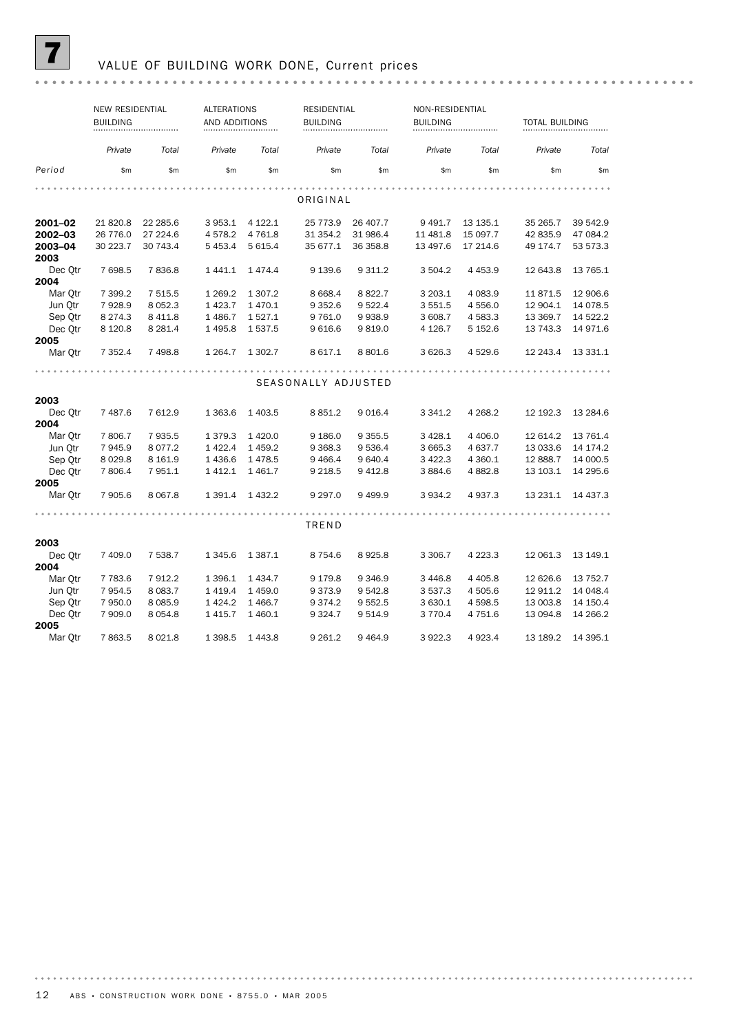

## 7 VALUE OF BUILDING WORK DONE, Current prices

|         | <b>NEW RESIDENTIAL</b><br><b>BUILDING</b> |             |             | <b>ALTERATIONS</b><br>AND ADDITIONS |                     | <b>RESIDENTIAL</b> | NON-RESIDENTIAL<br><b>BUILDING</b> |             |           | <b>TOTAL BUILDING</b> |  |
|---------|-------------------------------------------|-------------|-------------|-------------------------------------|---------------------|--------------------|------------------------------------|-------------|-----------|-----------------------|--|
|         | Private                                   | Total       | Private     | Total                               | Private             | Total              | Private                            | Total       | Private   | Total                 |  |
| Period  | \$m                                       | \$m         | \$m\$       | \$m                                 | \$m                 | \$m                | \$m                                | \$m         | \$m       | \$m                   |  |
|         |                                           |             |             |                                     |                     |                    |                                    |             |           |                       |  |
|         |                                           |             |             |                                     | ORIGINAL            |                    |                                    |             |           |                       |  |
| 2001-02 | 21 820.8                                  | 22 285.6    | 3 9 5 3.1   | 4 122.1                             | 25 773.9            | 26 407.7           | 9 4 9 1.7                          | 13 135.1    | 35 265.7  | 39 542.9              |  |
| 2002-03 | 26 776.0                                  | 27 224.6    | 4578.2      | 4 7 6 1.8                           | 31 354.2            | 31 986.4           | 11 481.8                           | 15 097.7    | 42 835.9  | 47 084.2              |  |
| 2003-04 | 30 223.7                                  | 30 743.4    | 5 4 5 3.4   | 5 6 1 5.4                           | 35 677.1            | 36 358.8           | 13 497.6                           | 17 214.6    | 49 174.7  | 53 573.3              |  |
| 2003    |                                           |             |             |                                     |                     |                    |                                    |             |           |                       |  |
| Dec Qtr | 7 698.5                                   | 7836.8      | 1441.1      | 1474.4                              | 9 139.6             | 9 311.2            | 3 504.2                            | 4 4 5 3.9   | 12 643.8  | 13 765.1              |  |
| 2004    |                                           |             |             |                                     |                     |                    |                                    |             |           |                       |  |
| Mar Otr | 7 399.2                                   | 7 515.5     | 1 2 6 9.2   | 1 307.2                             | 8 6 6 8.4           | 8822.7             | 3 203.1                            | 4 0 8 3 .9  | 11871.5   | 12 906.6              |  |
| Jun Otr | 7928.9                                    | 8 0 5 2.3   | 1 4 2 3.7   | 1470.1                              | 9 3 5 2.6           | 9 5 22.4           | 3 5 5 1.5                          | 4 556.0     | 12 904.1  | 14 078.5              |  |
| Sep Otr | 8 2 7 4 . 3                               | 8 4 1 1.8   | 1 4 8 6.7   | 1527.1                              | 9 7 6 1.0           | 9938.9             | 3 608.7                            | 4 583.3     | 13 3 69.7 | 14 522.2              |  |
| Dec Otr | 8 1 2 0.8                                 | 8 2 8 1.4   | 1495.8      | 1537.5                              | 9616.6              | 9819.0             | 4 1 2 6 . 7                        | 5 1 5 2.6   | 13 743.3  | 14 971.6              |  |
| 2005    |                                           |             |             |                                     |                     |                    |                                    |             |           |                       |  |
| Mar Qtr | 7 3 5 2.4                                 | 7498.8      | 1 2 64.7    | 1 302.7                             | 8 617.1             | 8 801.6            | 3 6 2 6 . 3                        | 4 529.6     | 12 243.4  | 13 331.1              |  |
|         |                                           |             |             |                                     |                     |                    |                                    |             |           |                       |  |
|         |                                           |             |             |                                     | SEASONALLY ADJUSTED |                    |                                    |             |           |                       |  |
| 2003    |                                           |             |             |                                     |                     |                    |                                    |             |           |                       |  |
| Dec Otr | 7 487.6                                   | 7 612.9     | 1 3 6 3.6   | 1 4 0 3.5                           | 8 8 5 1.2           | 9 0 16.4           | 3 3 4 1.2                          | 4 2 68.2    | 12 192.3  | 13 2 84.6             |  |
| 2004    |                                           |             |             |                                     |                     |                    |                                    |             |           |                       |  |
| Mar Otr | 7806.7                                    | 7935.5      | 1 3 7 9 . 3 | 1 4 2 0.0                           | 9 186.0             | 9 3 5 5.5          | 3 4 28.1                           | 4 4 0 6.0   | 12 614.2  | 13 761.4              |  |
| Jun Qtr | 7945.9                                    | 8 0 7 7 . 2 | 1 4 2 2.4   | 1459.2                              | 9 3 68.3            | 9 536.4            | 3 6 6 5 . 3                        | 4 637.7     | 13 033.6  | 14 174.2              |  |
| Sep Otr | 8 0 29.8                                  | 8 1 6 1.9   | 1436.6      | 1478.5                              | 9466.4              | 9 640.4            | 3 4 2 2.3                          | 4 3 6 0.1   | 12 888.7  | 14 000.5              |  |
| Dec Otr | 7 806.4                                   | 7 951.1     | 1412.1      | 1461.7                              | 9 2 18.5            | 9 4 1 2.8          | 3 8 8 4.6                          | 4882.8      | 13 103.1  | 14 295.6              |  |
| 2005    |                                           |             |             |                                     |                     |                    |                                    |             |           |                       |  |
| Mar Otr | 7 905.6                                   | 8 0 67.8    | 1 3 9 1.4   | 1432.2                              | 9 2 9 7 .0          | 9499.9             | 3 9 3 4.2                          | 4 937.3     | 13 231.1  | 14 437.3              |  |
|         |                                           |             |             |                                     |                     |                    |                                    |             |           |                       |  |
|         |                                           |             |             |                                     | TREND               |                    |                                    |             |           |                       |  |
| 2003    |                                           |             |             |                                     |                     |                    |                                    |             |           |                       |  |
| Dec Otr | 7 409.0                                   | 7 538.7     | 1 3 4 5 . 6 | 1 3 8 7 . 1                         | 8 7 5 4.6           | 8925.8             | 3 3 0 6.7                          | 4 2 2 3 . 3 | 12 061.3  | 13 149.1              |  |
| 2004    |                                           |             |             |                                     |                     |                    |                                    |             |           |                       |  |
| Mar Otr | 7 7 8 3.6                                 | 7912.2      | 1 3 9 6.1   | 1 4 3 4.7                           | 9 1 7 9 .8          | 9 3 4 6.9          | 3 4 4 6.8                          | 4 4 0 5.8   | 12 626.6  | 13 752.7              |  |
| Jun Otr | 7 9 5 4.5                                 | 8 0 8 3.7   | 1419.4      | 1459.0                              | 9373.9              | 9 542.8            | 3 5 3 7 . 3                        | 4 505.6     | 12 911.2  | 14 048.4              |  |
| Sep Qtr | 7 950.0                                   | 8 0 8 5 . 9 | 1424.2      | 1466.7                              | 9 3 7 4.2           | 9 5 5 2.5          | 3 630.1                            | 4 5 98.5    | 13 003.8  | 14 150.4              |  |
| Dec Otr | 7 909.0                                   | 8 0 5 4 .8  | 1415.7      | 1460.1                              | 9 3 2 4.7           | 9 5 1 4.9          | 3 7 7 0.4                          | 4 751.6     | 13 094.8  | 14 266.2              |  |
| 2005    |                                           |             |             |                                     |                     |                    |                                    |             |           |                       |  |
| Mar Otr | 7863.5                                    | 8 0 2 1.8   | 1 3 9 8.5   | 1443.8                              | 9 2 6 1.2           | 9464.9             | 3922.3                             | 4 923.4     | 13 189.2  | 14 395.1              |  |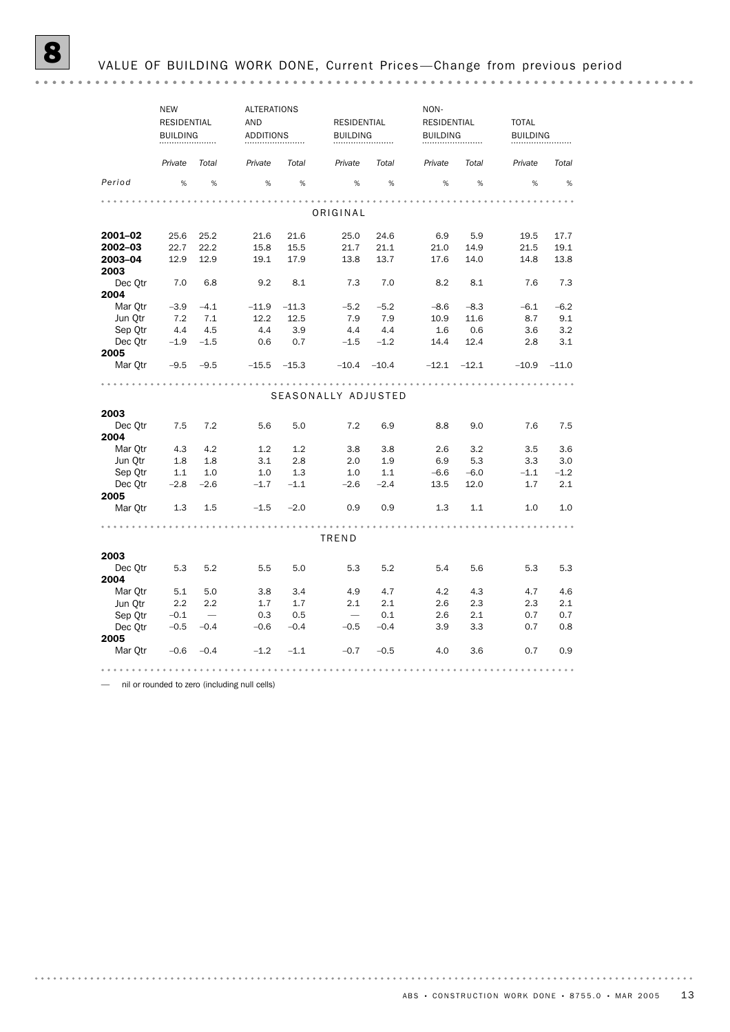|         | <b>NEW</b>         |                                 | <b>ALTERATIONS</b> |         |                          |         |                    |         | NON-         |                 |  |  |
|---------|--------------------|---------------------------------|--------------------|---------|--------------------------|---------|--------------------|---------|--------------|-----------------|--|--|
|         | <b>RESIDENTIAL</b> |                                 | AND                |         | RESIDENTIAL              |         | <b>RESIDENTIAL</b> |         | <b>TOTAL</b> |                 |  |  |
|         | <b>BUILDING</b>    |                                 | <b>ADDITIONS</b>   |         | <b>BUILDING</b>          |         | <b>BUILDING</b>    |         |              | <b>BUILDING</b> |  |  |
|         | Private            | Total                           | Private            | Total   | Private                  | Total   | Private            | Total   | Private      | Total           |  |  |
| Period  | %                  | %                               | %                  | %       | %                        | %       | %                  | %       | %            | %               |  |  |
|         |                    |                                 |                    |         |                          |         |                    |         |              |                 |  |  |
|         |                    |                                 |                    |         | ORIGINAL                 |         |                    |         |              |                 |  |  |
| 2001-02 | 25.6               | 25.2                            | 21.6               | 21.6    | 25.0                     | 24.6    | 6.9                | 5.9     | 19.5         | 17.7            |  |  |
| 2002-03 | 22.7               | 22.2                            | 15.8               | 15.5    | 21.7                     | 21.1    | 21.0               | 14.9    | 21.5         | 19.1            |  |  |
| 2003-04 | 12.9               | 12.9                            | 19.1               | 17.9    | 13.8                     | 13.7    | 17.6               | 14.0    | 14.8         | 13.8            |  |  |
| 2003    |                    |                                 |                    |         |                          |         |                    |         |              |                 |  |  |
| Dec Qtr | 7.0                | 6.8                             | 9.2                | 8.1     | 7.3                      | 7.0     | 8.2                | 8.1     | 7.6          | 7.3             |  |  |
| 2004    |                    |                                 |                    |         |                          |         |                    |         |              |                 |  |  |
| Mar Otr | $-3.9$             | $-4.1$                          | $-11.9$            | $-11.3$ | $-5.2$                   | $-5.2$  | $-8.6$             | $-8.3$  | $-6.1$       | $-6.2$          |  |  |
| Jun Qtr | 7.2                | 7.1                             | 12.2               | 12.5    | 7.9                      | 7.9     | 10.9               | 11.6    | 8.7          | 9.1             |  |  |
| Sep Qtr | 4.4                | 4.5                             | 4.4                | 3.9     | 4.4                      | 4.4     | 1.6                | 0.6     | 3.6          | 3.2             |  |  |
| Dec Otr | $-1.9$             | $-1.5$                          | 0.6                | 0.7     | $-1.5$                   | $-1.2$  | 14.4               | 12.4    | 2.8          | 3.1             |  |  |
| 2005    |                    |                                 |                    |         |                          |         |                    |         |              |                 |  |  |
| Mar Otr | $-9.5$             | $-9.5$                          | $-15.5$            | $-15.3$ | $-10.4$                  | $-10.4$ | $-12.1$            | $-12.1$ | $-10.9$      | $-11.0$         |  |  |
|         |                    |                                 |                    |         |                          |         | .                  |         |              |                 |  |  |
|         |                    |                                 |                    |         | SEASONALLY ADJUSTED      |         |                    |         |              |                 |  |  |
|         |                    |                                 |                    |         |                          |         |                    |         |              |                 |  |  |
| 2003    |                    |                                 |                    |         |                          |         |                    |         |              |                 |  |  |
| Dec Otr | 7.5                | 7.2                             | 5.6                | 5.0     | 7.2                      | 6.9     | 8.8                | 9.0     | 7.6          | 7.5             |  |  |
| 2004    |                    |                                 |                    |         |                          |         |                    |         |              |                 |  |  |
| Mar Otr | 4.3                | 4.2                             | 1.2                | 1.2     | 3.8                      | 3.8     | 2.6                | 3.2     | 3.5          | 3.6             |  |  |
| Jun Qtr | 1.8                | 1.8                             | 3.1                | 2.8     | 2.0                      | 1.9     | 6.9                | 5.3     | 3.3          | 3.0             |  |  |
| Sep Qtr | 1.1                | 1.0                             | 1.0                | 1.3     | 1.0                      | 1.1     | $-6.6$             | $-6.0$  | $-1.1$       | $-1.2$          |  |  |
| Dec Otr | $-2.8$             | $-2.6$                          | $-1.7$             | $-1.1$  | $-2.6$                   | $-2.4$  | 13.5               | 12.0    | 1.7          | 2.1             |  |  |
| 2005    |                    |                                 |                    |         |                          |         |                    |         |              |                 |  |  |
| Mar Otr | 1.3                | 1.5                             | $-1.5$             | $-2.0$  | 0.9                      | 0.9     | 1.3                | 1.1     | 1.0          | 1.0             |  |  |
|         |                    |                                 |                    |         |                          |         |                    |         |              |                 |  |  |
|         |                    |                                 |                    |         | TREND                    |         |                    |         |              |                 |  |  |
| 2003    |                    |                                 |                    |         |                          |         |                    |         |              |                 |  |  |
| Dec Otr | 5.3                | 5.2                             | 5.5                | 5.0     | 5.3                      | 5.2     | 5.4                | 5.6     | 5.3          | 5.3             |  |  |
| 2004    |                    |                                 |                    |         |                          |         |                    |         |              |                 |  |  |
| Mar Otr | 5.1                | 5.0                             | 3.8                | 3.4     | 4.9                      | 4.7     | 4.2                | 4.3     | 4.7          | 4.6             |  |  |
| Jun Qtr | 2.2                | 2.2                             | 1.7                | 1.7     | 2.1                      | 2.1     | 2.6                | 2.3     | 2.3          | 2.1             |  |  |
| Sep Qtr | $-0.1$             | $\overbrace{\phantom{1232211}}$ | 0.3                | 0.5     | $\overline{\phantom{0}}$ | 0.1     | 2.6                | 2.1     | 0.7          | 0.7             |  |  |
| Dec Otr | $-0.5$             | $-0.4$                          | $-0.6$             | $-0.4$  | $-0.5$                   | $-0.4$  | 3.9                | 3.3     | 0.7          | 0.8             |  |  |
| 2005    |                    |                                 |                    |         |                          |         |                    |         |              |                 |  |  |
| Mar Qtr | $-0.6$             | $-0.4$                          | $-1.2$             | $-1.1$  | $-0.7$                   | $-0.5$  | 4.0                | 3.6     | 0.7          | 0.9             |  |  |
|         |                    |                                 |                    |         |                          |         |                    |         |              |                 |  |  |
|         |                    |                                 |                    |         |                          |         |                    |         |              |                 |  |  |

— nil or rounded to zero (including null cells)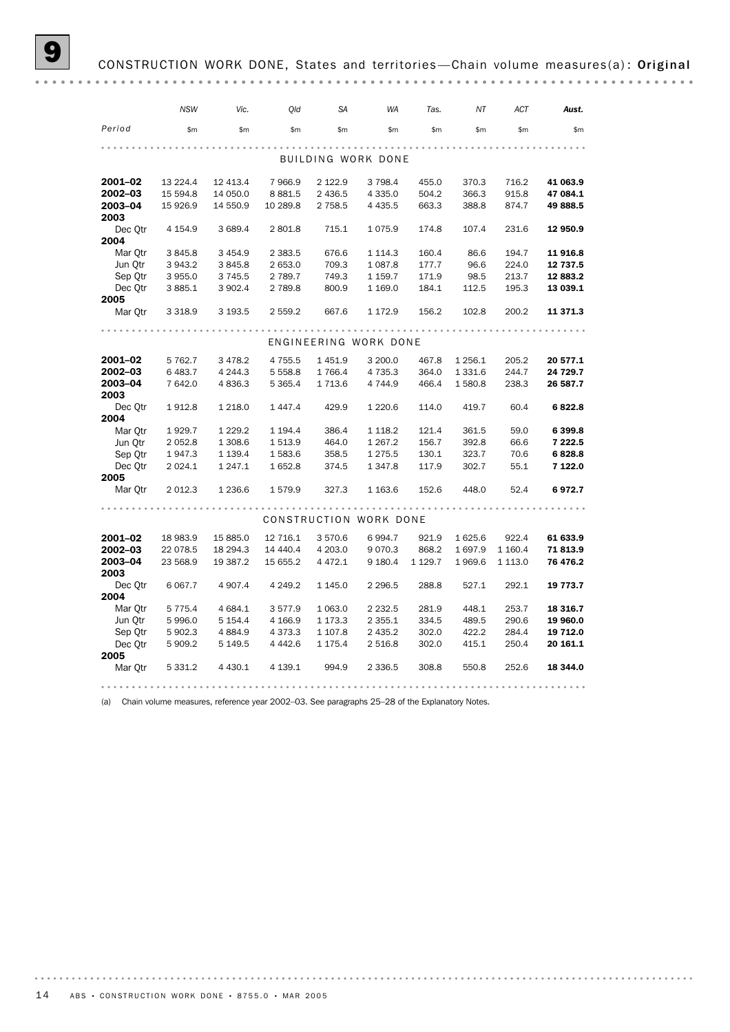## CONSTRUCTION WORK DONE, States and territories-Chain volume measures(a): Original

|                 | <b>NSW</b> | Vic.        | Old         | <b>SA</b>   | <b>WA</b>              | Tas.      | ΝT        | ACT         | Aust.    |
|-----------------|------------|-------------|-------------|-------------|------------------------|-----------|-----------|-------------|----------|
| Period          | \$m        | \$m         | \$m         | \$m         | \$m                    | \$m\$     | \$m       | \$m         | \$m\$    |
|                 |            |             |             |             |                        |           |           |             |          |
|                 |            |             |             |             | BUILDING WORK DONE     |           |           |             |          |
| 2001-02         | 13 2 2 4.4 | 12 413.4    | 7966.9      | 2 1 2 2 . 9 | 3 7 9 8.4              | 455.0     | 370.3     | 716.2       | 41 063.9 |
| 2002-03         | 15 594.8   | 14 050.0    | 8881.5      | 2 4 3 6.5   | 4 3 3 5 . 0            | 504.2     | 366.3     | 915.8       | 47 084.1 |
| 2003-04         | 15 926.9   | 14 550.9    | 10 289.8    | 2 7 5 8.5   | 4 4 3 5.5              | 663.3     | 388.8     | 874.7       | 49 888.5 |
| 2003            |            |             |             |             |                        |           |           |             |          |
| Dec Otr<br>2004 | 4 1 5 4 .9 | 3 689.4     | 2 801.8     | 715.1       | 1075.9                 | 174.8     | 107.4     | 231.6       | 12 950.9 |
| Mar Otr         | 3845.8     | 3 4 5 4.9   | 2 3 8 3 .5  | 676.6       | 1 1 1 4 . 3            | 160.4     | 86.6      | 194.7       | 11 916.8 |
| Jun Qtr         | 3943.2     | 3845.8      | 2 653.0     | 709.3       | 1 0 8 7 . 8            | 177.7     | 96.6      | 224.0       | 12 737.5 |
| Sep Qtr         | 3955.0     | 3 7 4 5 .5  | 2 789.7     | 749.3       | 1 159.7                | 171.9     | 98.5      | 213.7       | 12 883.2 |
| Dec Qtr         | 3 8 8 5.1  | 3 902.4     | 2 789.8     | 800.9       | 1 1 6 9.0              | 184.1     | 112.5     | 195.3       | 13 039.1 |
| 2005            |            |             |             |             |                        |           |           |             |          |
| Mar Otr         | 3 3 1 8 .9 | 3 193.5     | 2 559.2     | 667.6       | 1 172.9                | 156.2     | 102.8     | 200.2       | 11 371.3 |
|                 |            |             |             |             |                        |           |           |             |          |
|                 |            |             |             |             | ENGINEERING WORK DONE  |           |           |             |          |
| 2001-02         | 5 7 6 2.7  | 3 4 7 8.2   | 4 7 5 5 . 5 | 1451.9      | 3 200.0                | 467.8     | 1 2 5 6.1 | 205.2       | 20 577.1 |
| 2002-03         | 6483.7     | 4 2 4 4 .3  | 5 5 5 8.8   | 1766.4      | 4 7 3 5 . 3            | 364.0     | 1 3 3 1.6 | 244.7       | 24 729.7 |
| 2003-04         | 7 642.0    | 4 8 3 6.3   | 5 3 6 5.4   | 1713.6      | 4 744.9                | 466.4     | 1580.8    | 238.3       | 26 587.7 |
| 2003            |            |             |             |             |                        |           |           |             |          |
| Dec Otr         | 1912.8     | 1 2 1 8 .0  | 1 447.4     | 429.9       | 1 2 2 0.6              | 114.0     | 419.7     | 60.4        | 6822.8   |
| 2004            |            |             |             |             |                        |           |           |             |          |
| Mar Qtr         | 1929.7     | 1 2 2 9.2   | 1 1 9 4 . 4 | 386.4       | 1 1 18.2               | 121.4     | 361.5     | 59.0        | 6399.8   |
| Jun Qtr         | 2 0 5 2.8  | 1 308.6     | 1 513.9     | 464.0       | 1 2 6 7 . 2            | 156.7     | 392.8     | 66.6        | 7 222.5  |
| Sep Qtr         | 1947.3     | 1 1 3 9 . 4 | 1583.6      | 358.5       | 1 2 7 5 . 5            | 130.1     | 323.7     | 70.6        | 6828.8   |
| Dec Qtr         | 2 0 24.1   | 1 2 4 7 . 1 | 1652.8      | 374.5       | 1 3 4 7 .8             | 117.9     | 302.7     | 55.1        | 7 122.0  |
| 2005            |            |             |             |             |                        |           |           |             |          |
| Mar Qtr         | 2 0 1 2.3  | 1 2 3 6.6   | 1579.9      | 327.3       | 1 1 6 3.6              | 152.6     | 448.0     | 52.4        | 6972.7   |
|                 |            |             |             |             |                        |           |           |             |          |
|                 |            |             |             |             | CONSTRUCTION WORK DONE |           |           |             |          |
| 2001-02         | 18 983.9   | 15 885.0    | 12 716.1    | 3570.6      | 6994.7                 | 921.9     | 1 625.6   | 922.4       | 61 633.9 |
| 2002-03         | 22 078.5   | 18 294.3    | 14 440.4    | 4 203.0     | 9070.3                 | 868.2     | 1697.9    | 1 1 6 0.4   | 71813.9  |
| 2003-04         | 23 568.9   | 19 387.2    | 15 655.2    | 4 4 7 2.1   | 9 1 8 0.4              | 1 1 2 9.7 | 1969.6    | 1 1 1 3 . 0 | 76 476.2 |
| 2003            |            |             |             |             |                        |           |           |             |          |
| Dec Qtr         | 6 0 67.7   | 4 9 0 7.4   | 4 2 4 9.2   | 1 145.0     | 2 2 9 6.5              | 288.8     | 527.1     | 292.1       | 19 773.7 |
| 2004            |            |             |             |             |                        |           |           |             |          |
| Mar Otr         | 5 7 7 5.4  | 4 684.1     | 3577.9      | 1 0 6 3 . 0 | 2 2 3 2 .5             | 281.9     | 448.1     | 253.7       | 18 316.7 |
| Jun Otr         | 5996.0     | 5 1 5 4 . 4 | 4 166.9     | 1 173.3     | 2 3 5 5 . 1            | 334.5     | 489.5     | 290.6       | 19 960.0 |
| Sep Qtr         | 5 902.3    | 4 8 8 4 . 9 | 4373.3      | 1 107.8     | 2 4 3 5.2              | 302.0     | 422.2     | 284.4       | 19 712.0 |
| Dec Qtr         | 5 909.2    | 5 149.5     | 4 4 4 2.6   | 1 175.4     | 2 5 1 6.8              | 302.0     | 415.1     | 250.4       | 20 161.1 |
| 2005            |            |             |             |             |                        |           |           |             |          |
| Mar Otr         | 5 3 3 1.2  | 4 4 3 0.1   | 4 139.1     | 994.9       | 2 3 3 6.5              | 308.8     | 550.8     | 252.6       | 18 344.0 |
|                 |            |             |             |             |                        |           |           |             |          |

(a) Chain volume measures, reference year 2002–03. See paragraphs 25–28 of the Explanatory Notes.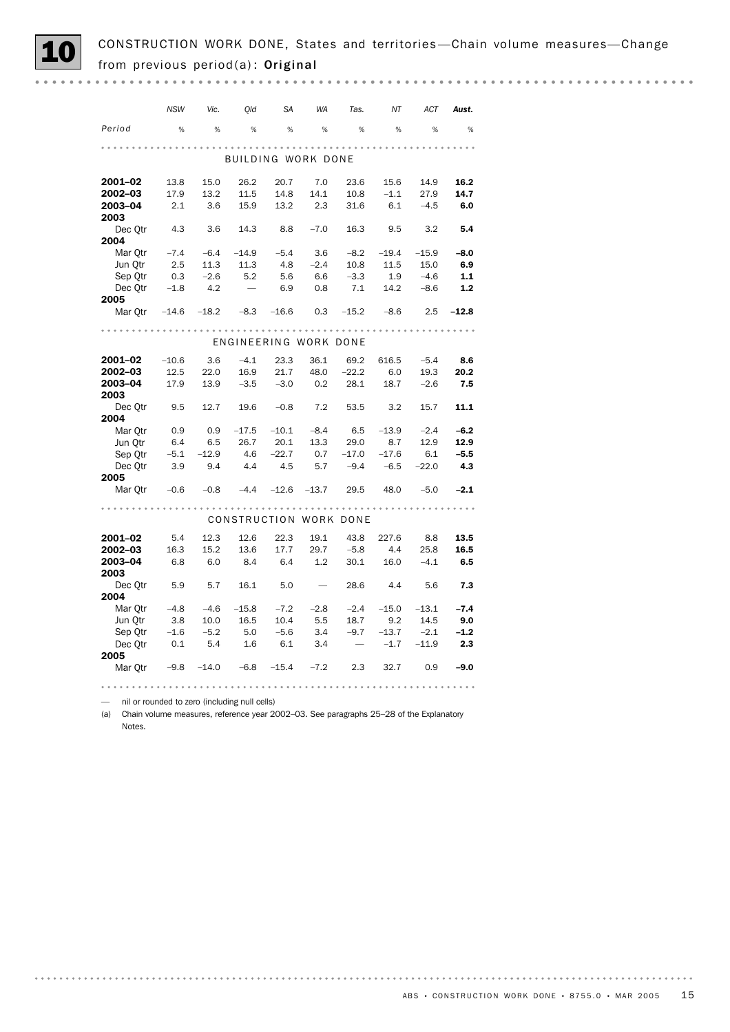CONSTRUCTION WORK DONE, States and territories—Chain volume measures—Change from previous period(a): Original

|                                               | NSW     | Vic.    | Qld                   | <b>SA</b> | WA      | Tas.                   | NT        | ACT     | Aust.   |  |
|-----------------------------------------------|---------|---------|-----------------------|-----------|---------|------------------------|-----------|---------|---------|--|
| Period                                        | %       | %       | %                     | %         | %       | %                      | %         | %       | %       |  |
|                                               |         |         |                       |           |         |                        | .         |         |         |  |
| BUILDING WORK DONE                            |         |         |                       |           |         |                        |           |         |         |  |
| 2001-02                                       | 13.8    | 15.0    | 26.2                  | 20.7      | 7.0     | 23.6                   | 15.6      | 14.9    | 16.2    |  |
| 2002-03                                       | 17.9    | 13.2    | 11.5                  | 14.8      | 14.1    | 10.8                   | $-1.1$    | 27.9    | 14.7    |  |
| 2003-04                                       | 2.1     | 3.6     | 15.9                  | 13.2      | 2.3     | 31.6                   | 6.1       | $-4.5$  | 6.0     |  |
| 2003                                          |         |         |                       |           |         |                        |           |         |         |  |
| Dec Otr                                       | 4.3     | 3.6     | 14.3                  | 8.8       | $-7.0$  | 16.3                   | 9.5       | 3.2     | 5.4     |  |
| 2004                                          |         |         |                       |           |         |                        |           |         |         |  |
| Mar Otr                                       | $-7.4$  | $-6.4$  | $-14.9$               | $-5.4$    | 3.6     | $-8.2$                 | $-19.4$   | $-15.9$ | $-8.0$  |  |
| Jun Qtr                                       | - 2.5   | 11.3    | 11.3                  | 4.8       | $-2.4$  | 10.8                   | 11.5      | 15.0    | 6.9     |  |
| Sep Otr                                       | 0.3     | $-2.6$  | 5.2                   | 5.6       | 6.6     | $-3.3$                 | 1.9       | $-4.6$  | 1.1     |  |
| Dec Qtr $-1.8$                                |         | 4.2     | $\hspace{0.1mm}$      | 6.9       | 0.8     | 7.1                    | 14.2      | $-8.6$  | 1.2     |  |
| 2005                                          |         |         |                       |           |         |                        |           |         |         |  |
| Mar Qtr -14.6 -18.2 -8.3 -16.6 0.3 -15.2 -8.6 |         |         |                       |           |         |                        |           | 2.5     | $-12.8$ |  |
|                                               |         |         |                       |           |         |                        |           |         |         |  |
|                                               |         |         | ENGINEERING WORK DONE |           |         |                        |           |         |         |  |
| 2001-02                                       | $-10.6$ | 3.6     | $-4.1$                | 23.3      | 36.1    | 69.2                   | 616.5     | $-5.4$  | 8.6     |  |
| 2002-03                                       | 12.5    | 22.0    | 16.9                  | 21.7      | 48.0    | $-22.2$                | 6.0       | 19.3    | 20.2    |  |
| 2003-04                                       | 17.9    | 13.9    | $-3.5$                | $-3.0$    | 0.2     |                        | 28.1 18.7 | $-2.6$  | 7.5     |  |
| 2003                                          |         |         |                       |           |         |                        |           |         |         |  |
| Dec Otr                                       | 9.5     | 12.7    | 19.6                  | $-0.8$    |         | 7.2 53.5               | 3.2       | 15.7    | 11.1    |  |
| 2004                                          |         |         |                       |           |         |                        |           |         |         |  |
| Mar Otr                                       | 0.9     | 0.9     | $-17.5$               | $-10.1$   |         | $-8.4$ 6.5             | $-13.9$   | $-2.4$  | $-6.2$  |  |
| Jun Otr                                       | 6.4     | 6.5     | 26.7                  | 20.1      | 13.3    | 29.0                   | 8.7       | 12.9    | 12.9    |  |
| Sep Qtr                                       | $-5.1$  | $-12.9$ | 4.6                   | $-22.7$   | 0.7     | $-17.0$                | $-17.6$   | 6.1     | $-5.5$  |  |
| Dec Otr<br>2005                               | 3.9     | 9.4     | 4.4                   | 4.5       | 5.7     | $-9.4$                 | $-6.5$    | $-22.0$ | 4.3     |  |
| Mar Qtr $-0.6$ $-0.8$                         |         |         | $-4.4$                | $-12.6$   | $-13.7$ | 29.5                   | 48.0      | $-5.0$  | $-2.1$  |  |
|                                               |         |         |                       |           |         |                        |           |         |         |  |
|                                               |         |         |                       |           |         | CONSTRUCTION WORK DONE |           |         |         |  |
| 2001-02                                       | -5.4    | 12.3    | 12.6                  | 22.3      | 19.1    | 43.8                   | 227.6     | 8.8     | 13.5    |  |
| 2002-03                                       | 16.3    | 15.2    | 13.6                  | 17.7      | 29.7    | $-5.8$                 | 4.4       | 25.8    | 16.5    |  |
| 2003-04<br>2003                               | 6.8     | 6.0     | 8.4                   | 6.4       | 1.2     |                        | 30.1 16.0 | $-4.1$  | 6.5     |  |
| Dec Otr<br>2004                               | 5.9     | 5.7     | 16.1                  | 5.0       | $\sim$  | 28.6                   | 4.4       | 5.6     | 7.3     |  |
| Mar Qtr                                       | $-4.8$  | $-4.6$  | $-15.8$               | $-7.2$    | $-2.8$  | $-2.4$                 | $-15.0$   | $-13.1$ | $-7.4$  |  |
| Jun Otr                                       | 3.8     | 10.0    | 16.5                  | 10.4      | 5.5     | 18.7                   | 9.2       | 14.5    | 9.0     |  |
| Sep Qtr                                       | $-1.6$  | $-5.2$  | 5.0                   | $-5.6$    | 3.4     | $-9.7$                 | $-13.7$   | $-2.1$  | $-1.2$  |  |
| Dec Otr                                       | 0.1     | - 5.4   | 1.6                   | 6.1       | 3.4     | $\hspace{0.1mm}$       | $-1.7$    | $-11.9$ | 2.3     |  |
| 2005                                          |         |         |                       |           |         |                        |           |         |         |  |
| Mar Qtr                                       | $-9.8$  | $-14.0$ | $-6.8$                | $-15.4$   | $-7.2$  | 2.3                    | 32.7      | 0.9     | $-9.0$  |  |

— nil or rounded to zero (including null cells)

(a) Chain volume measures, reference year 2002–03. See paragraphs 25–28 of the Explanatory

Notes.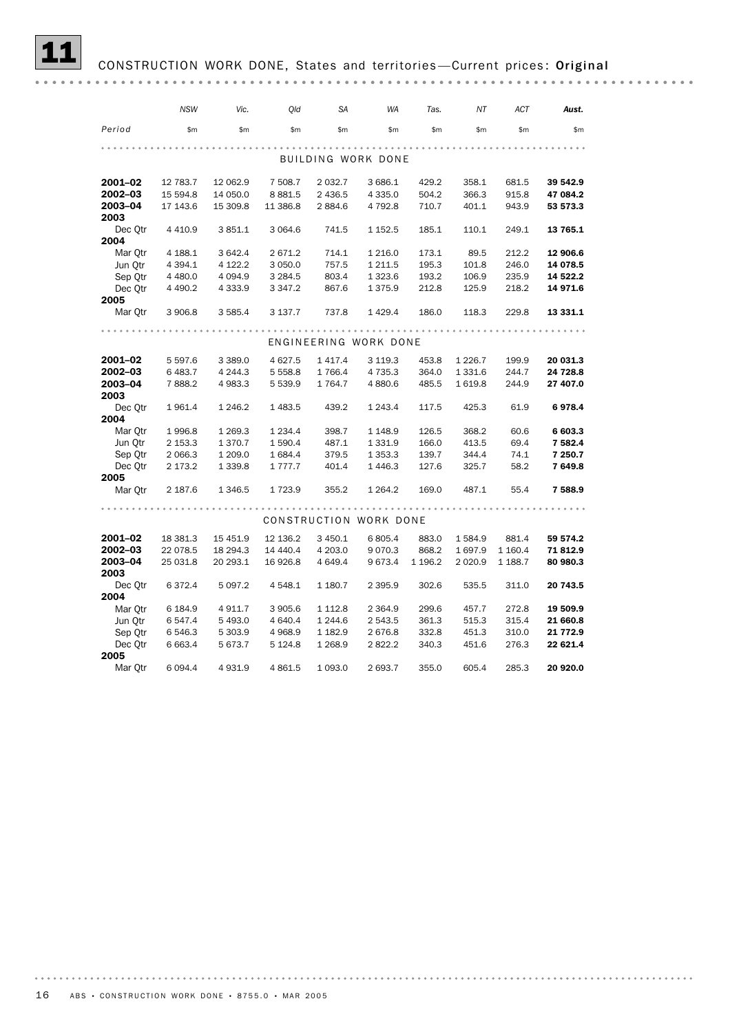## CONSTRUCTION WORK DONE, States and territories-Current prices: Original

|         | <b>NSW</b>  | Vic.        | Old         | SA          | WA                     | Tas.    | ΝT          | ACT      | Aust.    |  |
|---------|-------------|-------------|-------------|-------------|------------------------|---------|-------------|----------|----------|--|
| Period  | \$m         | \$m         | \$m         | \$m\$       | \$m                    | \$m\$   | \$m         | \$m      | \$m      |  |
|         |             |             |             |             |                        |         |             |          |          |  |
|         |             |             |             |             | BUILDING WORK DONE     |         |             |          |          |  |
| 2001-02 | 12 783.7    | 12 062.9    | 7 508.7     | 2 0 3 2.7   | 3 686.1                | 429.2   | 358.1       | 681.5    | 39 542.9 |  |
| 2002-03 | 15 594.8    | 14 050.0    | 8 8 8 1.5   | 2 4 3 6.5   | 4 3 3 5.0              | 504.2   | 366.3       | 915.8    | 47 084.2 |  |
| 2003-04 | 17 143.6    | 15 309.8    | 11 386.8    | 2884.6      | 4 792.8                | 710.7   | 401.1       | 943.9    | 53 573.3 |  |
| 2003    |             |             |             |             |                        |         |             |          |          |  |
| Dec Otr | 4 4 1 0.9   | 3851.1      | 3 0 64.6    | 741.5       | 1 152.5                | 185.1   | 110.1       | 249.1    | 13 765.1 |  |
| 2004    |             |             |             |             |                        |         |             |          |          |  |
| Mar Otr | 4 188.1     | 3 642.4     | 2671.2      | 714.1       | 1 2 1 6 .0             | 173.1   | 89.5        | 212.2    | 12 906.6 |  |
| Jun Otr | 4 3 9 4 . 1 | 4 122.2     | 3 0 5 0.0   | 757.5       | 1 2 1 1.5              | 195.3   | 101.8       | 246.0    | 14 078.5 |  |
| Sep Otr | 4 4 8 0.0   | 4 0 9 4.9   | 3 2 8 4 .5  | 803.4       | 1 3 2 3.6              | 193.2   | 106.9       | 235.9    | 14 522.2 |  |
| Dec Qtr | 4 4 9 0.2   | 4 3 3 3 . 9 | 3 3 4 7 . 2 | 867.6       | 1375.9                 | 212.8   | 125.9       | 218.2    | 14 971.6 |  |
| 2005    |             |             |             |             |                        |         |             |          |          |  |
| Mar Qtr | 3 906.8     | 3 5 8 5.4   | 3 137.7     | 737.8       | 1429.4                 | 186.0   | 118.3       | 229.8    | 13 331.1 |  |
|         |             |             |             |             |                        |         |             |          |          |  |
|         |             |             |             |             | ENGINEERING WORK DONE  |         |             |          |          |  |
| 2001-02 | 5 5 9 7.6   | 3 3 8 9.0   | 4 6 27.5    | 1 4 1 7 . 4 | 3 1 1 9 . 3            | 453.8   | 1 2 2 6 . 7 | 199.9    | 20 031.3 |  |
| 2002-03 | 6 4 8 3.7   | 4 2 4 4 .3  | 5 5 5 8.8   | 1766.4      | 4 7 3 5 . 3            | 364.0   | 1 3 3 1.6   | 244.7    | 24 728.8 |  |
| 2003-04 | 7888.2      | 4 983.3     | 5 539.9     | 1764.7      | 4 8 8 0.6              | 485.5   | 1619.8      | 244.9    | 27 407.0 |  |
| 2003    |             |             |             |             |                        |         |             |          |          |  |
| Dec Otr | 1961.4      | 1 2 4 6.2   | 1 483.5     | 439.2       | 1 2 4 3 . 4            | 117.5   | 425.3       | 61.9     | 6978.4   |  |
| 2004    |             |             |             |             |                        |         |             |          |          |  |
| Mar Otr | 1996.8      | 1 2 6 9.3   | 1 2 3 4 . 4 | 398.7       | 1 1 4 8.9              | 126.5   | 368.2       | 60.6     | 6 603.3  |  |
| Jun Qtr | 2 153.3     | 1370.7      | 1590.4      | 487.1       | 1 3 3 1.9              | 166.0   | 413.5       | 69.4     | 7 582.4  |  |
| Sep Qtr | 2 0 66.3    | 1 209.0     | 1684.4      | 379.5       | 1 3 5 3 . 3            | 139.7   | 344.4       | 74.1     | 7 250.7  |  |
| Dec Qtr | 2 173.2     | 1 3 3 9.8   | 1 777.7     | 401.4       | 1446.3                 | 127.6   | 325.7       | 58.2     | 7649.8   |  |
| 2005    |             |             |             |             |                        |         |             |          |          |  |
| Mar Otr | 2 187.6     | 1 3 4 6.5   | 1723.9      | 355.2       | 1 2 64.2               | 169.0   | 487.1       | 55.4     | 7588.9   |  |
|         |             |             |             |             |                        |         |             |          |          |  |
|         |             |             |             |             | CONSTRUCTION WORK DONE |         |             |          |          |  |
| 2001-02 | 18 381.3    | 15 451.9    | 12 136.2    | 3 450.1     | 6805.4                 | 883.0   | 1584.9      | 881.4    | 59 574.2 |  |
| 2002-03 | 22 078.5    | 18 294.3    | 14 440.4    | 4 203.0     | 9070.3                 | 868.2   | 1697.9      | 1 160.4  | 71 812.9 |  |
| 2003-04 | 25 031.8    | 20 293.1    | 16 926.8    | 4 649.4     | 9673.4                 | 1 196.2 | 2 0 2 0.9   | 1 1 88.7 | 80 980.3 |  |
| 2003    |             |             |             |             |                        |         |             |          |          |  |
| Dec Otr | 6372.4      | 5 0 9 7.2   | 4 5 4 8.1   | 1 180.7     | 2 3 9 5.9              | 302.6   | 535.5       | 311.0    | 20 743.5 |  |
| 2004    |             |             |             |             |                        |         |             |          |          |  |
| Mar Qtr | 6 184.9     | 4911.7      | 3 905.6     | 1 1 1 2.8   | 2 3 6 4 .9             | 299.6   | 457.7       | 272.8    | 19 509.9 |  |
| Jun Qtr | 6 547.4     | 5 493.0     | 4 640.4     | 1 244.6     | 2 543.5                | 361.3   | 515.3       | 315.4    | 21 660.8 |  |
| Sep Qtr | 6 546.3     | 5 303.9     | 4 9 68.9    | 1 182.9     | 2676.8                 | 332.8   | 451.3       | 310.0    | 21 772.9 |  |
| Dec Qtr | 6 6 63.4    | 5 673.7     | 5 124.8     | 1 2 68.9    | 2822.2                 | 340.3   | 451.6       | 276.3    | 22 621.4 |  |
| 2005    |             |             |             |             |                        |         |             |          |          |  |
| Mar Otr | 6 0 9 4.4   | 4931.9      | 4 8 6 1.5   | 1 0 9 3 .0  | 2 693.7                | 355.0   | 605.4       | 285.3    | 20 920.0 |  |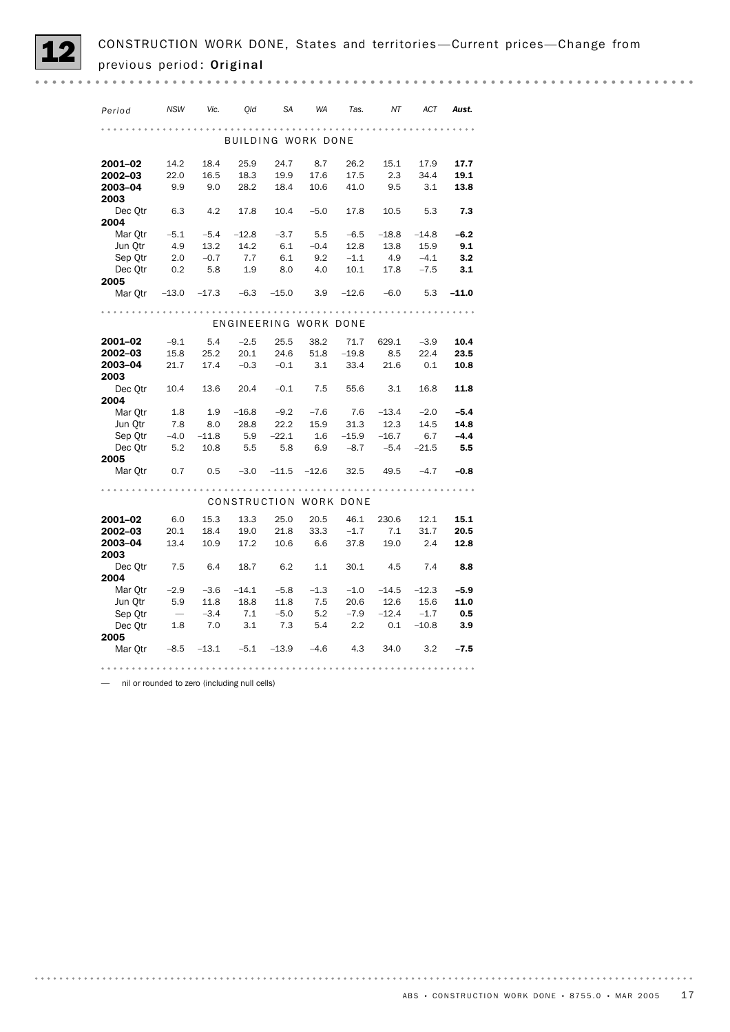| Period                                               | NSW                      | Vic.                  | Old         | SA                        | WA     | Tas.                   | NT                     | ACT         | Aust.  |  |
|------------------------------------------------------|--------------------------|-----------------------|-------------|---------------------------|--------|------------------------|------------------------|-------------|--------|--|
|                                                      |                          |                       |             |                           |        |                        |                        |             |        |  |
|                                                      |                          |                       |             | <b>BUILDING WORK DONE</b> |        |                        |                        |             |        |  |
|                                                      |                          |                       |             |                           |        |                        |                        |             |        |  |
| 2001-02                                              | 14.2                     | 18.4                  | 25.9        | 24.7                      | 8.7    | 26.2                   | 15.1                   | 17.9        | 17.7   |  |
| 2002-03                                              | 22.0                     | 16.5                  | 18.3        | 19.9                      | 17.6   | 17.5                   | 2.3                    | 34.4        | 19.1   |  |
| 2003-04                                              | 9.9                      | 9.0                   | 28.2        | 18.4                      | 10.6   | 41.0                   | $9.5$ $3.1$            |             | 13.8   |  |
| 2003                                                 |                          |                       |             |                           |        |                        |                        |             |        |  |
| Dec Otr                                              | 6.3                      | 4.2                   | 17.8        | 10.4                      | $-5.0$ |                        | 17.8 10.5 5.3          |             | 7.3    |  |
| 2004                                                 |                          |                       |             |                           |        |                        |                        |             |        |  |
| Mar Otr                                              |                          | $-5.1$ $-5.4$ $-12.8$ |             | $-3.7$                    | 5.5    |                        | $-6.5$ $-18.8$ $-14.8$ |             | $-6.2$ |  |
| Jun Qtr                                              | 4.9                      | 13.2                  | 14.2        | 6.1                       | $-0.4$ | 12.8                   | 13.8                   | 15.9        | 9.1    |  |
| Sep Otr                                              | 2.0                      | $-0.7$                | 7.7         | 6.1                       | 9.2    | $-1.1$                 | 4.9                    | $-4.1$      | 3.2    |  |
| Dec Qtr                                              | 0.2                      | 5.8                   | 1.9         | 8.0                       | 4.0    |                        | $10.1$ 4.9             | $-7.5$      | - 3.1  |  |
| 2005                                                 |                          |                       |             |                           |        |                        |                        |             |        |  |
| Mar Qtr $-13.0$ $-17.3$ $-6.3$ $-15.0$               |                          |                       |             |                           |        | $3.9$ $-12.6$ $-6.0$   |                        | $5.3 -11.0$ |        |  |
|                                                      |                          |                       |             |                           |        |                        |                        |             |        |  |
| ENGINEERING WORK DONE                                |                          |                       |             |                           |        |                        |                        |             |        |  |
| 2001-02                                              | $-9.1$                   | 5.4                   | $-2.5$      | 25.5                      | 38.2   |                        | 71.7 629.1             | $-3.9$      | 10.4   |  |
| 2002-03                                              | 15.8                     | 25.2                  |             | 20.1 24.6 51.8 -19.8      |        |                        | 8.5                    | 22.4        | 23.5   |  |
| 2003-04                                              | 21.7                     |                       | $17.4 -0.3$ | $-0.1$ 3.1                |        | 33.4 21.6              |                        | 0.1         | 10.8   |  |
| 2003                                                 |                          |                       |             |                           |        |                        |                        |             |        |  |
| Dec 0tr 10.4 13.6 20.4 -0.1 7.5 55.6                 |                          |                       |             |                           |        |                        | 3.1                    | 16.8        | 11.8   |  |
| 2004                                                 |                          |                       |             |                           |        |                        |                        |             |        |  |
| Mar Otr                                              | 1.8                      | 1.9                   | $-16.8$     | $-9.2$                    | $-7.6$ | 7.6                    | $-13.4$                | $-2.0$      | $-5.4$ |  |
| Jun Otr                                              | 7.8                      | 8.0                   |             | 28.8 22.2                 | 15.9   | 31.3                   | 12.3                   | 14.5        | 14.8   |  |
| Sep Qtr                                              |                          | $-4.0$ $-11.8$        | 5.9<br>5.5  | $-22.1$                   |        | $1.6$ $-15.9$ $-16.7$  |                        | 6.7         | $-4.4$ |  |
| $Dec 0$ tr $5.2$ 10.8                                |                          |                       |             | 5.8                       | 6.9    |                        | $-8.7$ $-5.4$ $-21.5$  |             | 5.5    |  |
| 2005                                                 |                          |                       |             |                           |        |                        |                        |             |        |  |
| Mar Qtr 0.7 0.5 -3.0 -11.5 -12.6 32.5 49.5 -4.7 -0.8 |                          |                       |             |                           |        |                        |                        |             |        |  |
|                                                      |                          |                       |             |                           |        |                        |                        |             |        |  |
|                                                      |                          |                       |             |                           |        | CONSTRUCTION WORK DONE |                        |             |        |  |
| 2001-02                                              | 6.0                      | 15.3                  | 13.3        | 25.0                      | 20.5   |                        | 46.1 230.6             | 12.1        | 15.1   |  |
| 2002-03                                              | 20.1                     | 18.4                  |             | 19.0 21.8                 | 33.3   |                        | $-1.7$ 7.1             | 31.7        | 20.5   |  |
| 2003-04                                              |                          | 13.4 10.9             | 17.2        | 10.6                      | 6.6    | 37.8                   | 19.0                   | 2.4         | 12.8   |  |
| 2003                                                 |                          |                       |             |                           |        |                        |                        |             |        |  |
| Dec Qtr 7.5                                          |                          | 6.4 18.7              |             | 6.2                       | 1.1    |                        | 30.1 4.5 7.4           |             | 8.8    |  |
| 2004                                                 |                          |                       |             |                           |        |                        |                        |             |        |  |
| Mar Qtr                                              | $-2.9$                   | $-3.6$                | $-14.1$     | $-5.8$                    | $-1.3$ |                        | $-1.0$ $-14.5$ $-12.3$ |             | $-5.9$ |  |
| Jun Otr                                              | 5.9                      |                       | 11.8 18.8   | 11.8                      | 7.5    | 20.6                   | 12.6                   | 15.6        | 11.0   |  |
| Sep Otr                                              | $\overline{\phantom{a}}$ | $-3.4$                | 7.1         | $-5.0$                    | 5.2    | $-7.9$                 | $-12.4$                | $-1.7$      | 0.5    |  |
| Dec Qtr 1.8                                          |                          | 7.0                   | 3.1         | 7.3                       | 5.4    | 2.2                    | 0.1                    | $-10.8$     | 3.9    |  |
| 2005                                                 |                          |                       |             |                           |        |                        |                        |             |        |  |
| Mar Qtr -8.5 -13.1 -5.1 -13.9 -4.6 4.3 34.0          |                          |                       |             |                           |        |                        |                        | 3.2         | $-7.5$ |  |
|                                                      |                          |                       |             |                           |        |                        |                        |             |        |  |

— nil or rounded to zero (including null cells)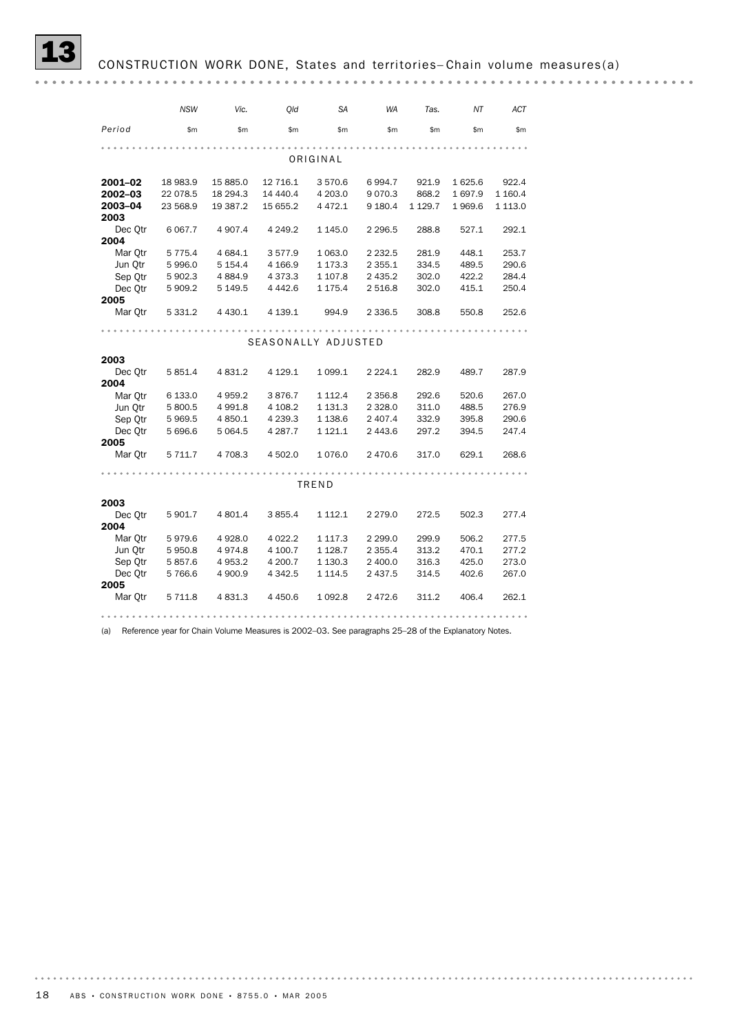|         | <b>NSW</b> | Vic.        | Old                 | <b>SA</b>   | <b>WA</b>   | Tas.        | ΝT     | ACT         |  |  |
|---------|------------|-------------|---------------------|-------------|-------------|-------------|--------|-------------|--|--|
| Period  | \$m\$      | \$m         | \$m\$               | \$m\$       | \$m\$       | \$m\$       | \$m\$  | \$m         |  |  |
|         |            |             |                     |             |             |             |        |             |  |  |
|         |            |             |                     | ORIGINAL    |             |             |        |             |  |  |
| 2001-02 | 18 983.9   | 15 885.0    | 12 716.1            | 3570.6      | 6 9 9 4.7   | 921.9       | 1625.6 | 922.4       |  |  |
| 2002-03 | 22 078.5   | 18 294.3    | 14 440.4            | 4 203.0     | 9 0 7 0 . 3 | 868.2       | 1697.9 | 1 160.4     |  |  |
| 2003-04 | 23 568.9   | 19 387.2    | 15 655.2            | 4 4 7 2.1   | 9 180.4     | 1 1 2 9 . 7 | 1969.6 | 1 1 1 3 . 0 |  |  |
| 2003    |            |             |                     |             |             |             |        |             |  |  |
| Dec Otr | 6 0 67.7   | 4 9 0 7.4   | 4 2 4 9.2           | 1 1 4 5 . 0 | 2 2 9 6.5   | 288.8       | 527.1  | 292.1       |  |  |
| 2004    |            |             |                     |             |             |             |        |             |  |  |
| Mar Otr | 5 7 7 5.4  | 4 684.1     | 3577.9              | 1 0 6 3 . 0 | 2 2 3 2.5   | 281.9       | 448.1  | 253.7       |  |  |
| Jun Otr | 5996.0     | 5 1 5 4 . 4 | 4 1 66.9            | 1 173.3     | 2 3 5 5.1   | 334.5       | 489.5  | 290.6       |  |  |
| Sep Qtr | 5 902.3    | 4 8 8 4 .9  | 4 3 7 3 . 3         | 1 107.8     | 2 435.2     | 302.0       | 422.2  | 284.4       |  |  |
| Dec Otr | 5 909.2    | 5 149.5     | 4 4 4 2.6           | 1 175.4     | 2 516.8     | 302.0       | 415.1  | 250.4       |  |  |
| 2005    |            |             |                     |             |             |             |        |             |  |  |
| Mar Otr | 5 3 3 1.2  | 4 4 3 0.1   | 4 139.1             | 994.9       | 2 3 3 6.5   | 308.8       | 550.8  | 252.6       |  |  |
|         |            |             |                     |             |             |             |        |             |  |  |
|         |            |             | SEASONALLY ADJUSTED |             |             |             |        |             |  |  |
| 2003    |            |             |                     |             |             |             |        |             |  |  |
| Dec Otr | 5 851.4    | 4 8 3 1.2   | 4 1 2 9 . 1         | 1 0 9 9.1   | 2 2 2 4 . 1 | 282.9       | 489.7  | 287.9       |  |  |
| 2004    |            |             |                     |             |             |             |        |             |  |  |
| Mar Otr | 6 133.0    | 4 9 5 9.2   | 3876.7              | 1 1 1 2 . 4 | 2 3 5 6.8   | 292.6       | 520.6  | 267.0       |  |  |
| Jun Otr | 5 800.5    | 4 9 9 1.8   | 4 108.2             | 1 1 3 1 . 3 | 2 3 2 8 .0  | 311.0       | 488.5  | 276.9       |  |  |
| Sep Otr | 5969.5     | 4 850.1     | 4 2 3 9.3           | 1 1 38.6    | 2 407.4     | 332.9       | 395.8  | 290.6       |  |  |
| Dec Otr | 5 696.6    | 5 0 6 4.5   | 4 287.7             | 1 121.1     | 2 443.6     | 297.2       | 394.5  | 247.4       |  |  |
| 2005    |            |             |                     |             |             |             |        |             |  |  |
| Mar Otr | 5 7 1 1.7  | 4 708.3     | 4 502.0             | 1076.0      | 2 470.6     | 317.0       | 629.1  | 268.6       |  |  |
|         |            |             |                     |             |             |             |        |             |  |  |
|         |            |             |                     | TREND       |             |             |        |             |  |  |
| 2003    |            |             |                     |             |             |             |        |             |  |  |
| Dec Otr | 5 901.7    | 4 801.4     | 3 855.4             | 1 1 1 2 . 1 | 2 2 7 9 . 0 | 272.5       | 502.3  | 277.4       |  |  |
| 2004    |            |             |                     |             |             |             |        |             |  |  |
| Mar Otr | 5979.6     | 4 9 28.0    | 4 0 2 2.2           | 1 1 1 7 . 3 | 2 2 9 9.0   | 299.9       | 506.2  | 277.5       |  |  |
| Jun Qtr | 5950.8     | 4974.8      | 4 100.7             | 1 1 28.7    | 2 3 5 5.4   | 313.2       | 470.1  | 277.2       |  |  |
| Sep Otr | 5857.6     | 4 9 5 3.2   | 4 200.7             | 1 1 3 0 . 3 | 2 400.0     | 316.3       | 425.0  | 273.0       |  |  |
| Dec Otr | 5766.6     | 4 900.9     | 4 3 4 2.5           | 1 1 1 4 .5  | 2 437.5     | 314.5       | 402.6  | 267.0       |  |  |
| 2005    |            |             |                     |             |             |             |        |             |  |  |
| Mar Otr | 5 7 1 1.8  | 4 8 3 1.3   | 4 4 5 0.6           | 1 0 9 2.8   | 2 472.6     | 311.2       | 406.4  | 262.1       |  |  |
|         |            |             |                     |             |             |             |        |             |  |  |

(a) Reference year for Chain Volume Measures is 2002–03. See paragraphs 25–28 of the Explanatory Notes.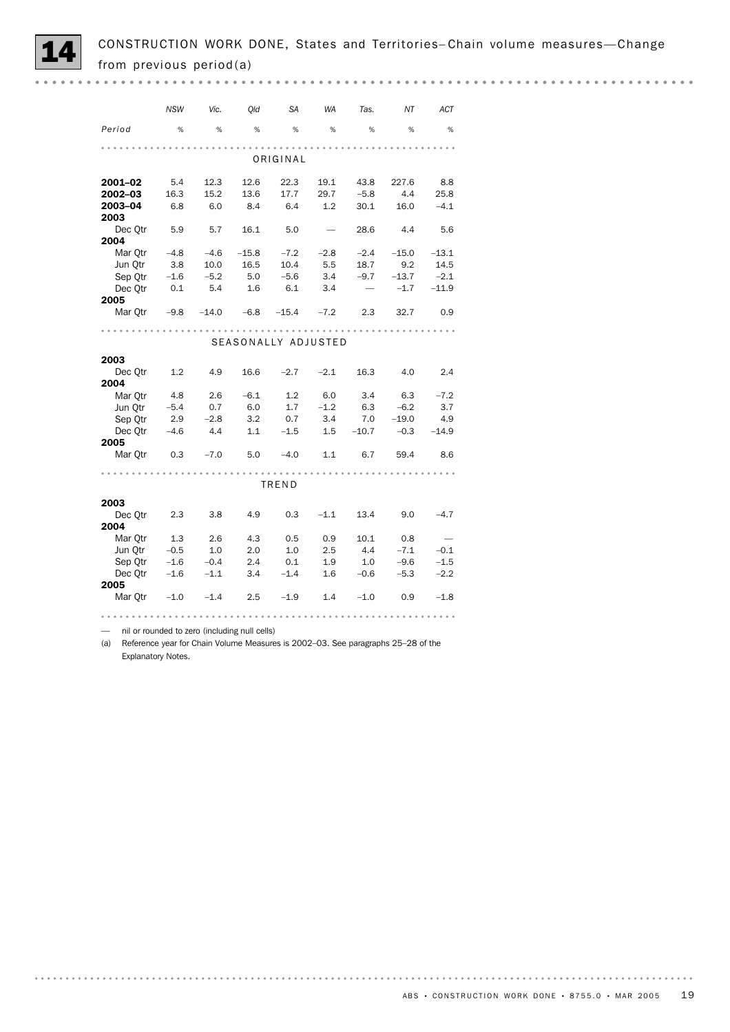

*NSW Vic. Qld SA WA Tas. NT ACT Period* % % % % % % % % ORIGINAL **2001–02** 5.4 12.3 12.6 22.3 19.1 43.8 227.6 8.8<br>**2002–03** 16.3 15.2 13.6 17.7 29.7 -5.8 4.4 25.8 2002–03 16.3 15.2 13.6 17.7 29.7 –5.8 4.4 25.8 2003–04 6.8 6.0 8.4 6.4 1.2 30.1 16.0 –4.1

| 2003    |        |         |         |                     |        |         |         |         |
|---------|--------|---------|---------|---------------------|--------|---------|---------|---------|
| Dec Qtr | 5.9    | 5.7     | 16.1    | 5.0                 |        | 28.6    | 4.4     | 5.6     |
| 2004    |        |         |         |                     |        |         |         |         |
| Mar Qtr | $-4.8$ | $-4.6$  | $-15.8$ | $-7.2$              | $-2.8$ | $-2.4$  | $-15.0$ | $-13.1$ |
| Jun Otr | 3.8    | 10.0    | 16.5    | 10.4                | 5.5    | 18.7    | 9.2     | 14.5    |
| Sep Qtr | $-1.6$ | $-5.2$  | 5.0     | $-5.6$              | 3.4    | $-9.7$  | $-13.7$ | $-2.1$  |
| Dec Otr | 0.1    | 5.4     | 1.6     | 6.1                 | 3.4    |         | $-1.7$  | $-11.9$ |
| 2005    |        |         |         |                     |        |         |         |         |
| Mar Qtr | $-9.8$ | $-14.0$ | $-6.8$  | $-15.4$             | $-7.2$ | 2.3     | 32.7    | 0.9     |
|         |        |         |         |                     |        |         |         |         |
|         |        |         |         | SEASONALLY ADJUSTED |        |         |         |         |
|         |        |         |         |                     |        |         |         |         |
| 2003    |        |         |         |                     |        |         |         |         |
| Dec Otr | 1.2    | 4.9     | 16.6    | $-2.7$              | $-2.1$ | 16.3    | 4.0     | 2.4     |
| 2004    |        |         |         |                     |        |         |         |         |
| Mar Qtr | 4.8    | 2.6     | $-6.1$  | 1.2                 | 6.0    | 3.4     | 6.3     | $-7.2$  |
| Jun Qtr | $-5.4$ | 0.7     | 6.0     | 1.7                 | $-1.2$ | 6.3     | $-6.2$  | 3.7     |
| Sep Qtr | 2.9    | $-2.8$  | 3.2     | 0.7                 | 3.4    | 7.0     | $-19.0$ | 4.9     |
| Dec Otr | $-4.6$ | 4.4     | 1.1     | $-1.5$              | 1.5    | $-10.7$ | $-0.3$  | $-14.9$ |
| 2005    |        |         |         |                     |        |         |         |         |
| Mar Otr | 0.3    | $-7.0$  | 5.0     | $-4.0$              | 1.1    | 6.7     | 59.4    | 8.6     |
|         |        |         |         |                     |        |         |         |         |
|         |        |         |         | TREND               |        |         |         |         |
| 2003    |        |         |         |                     |        |         |         |         |
| Dec Qtr | 2.3    | 3.8     | 4.9     | 0.3                 | $-1.1$ | 13.4    | 9.0     | $-4.7$  |
|         |        |         |         |                     |        |         |         |         |

| DUU YU  | - -    | $\sim$ | $\cdot$ . $\sim$ | $\sim$ | --- | ---    | $\sim$ | .      |
|---------|--------|--------|------------------|--------|-----|--------|--------|--------|
| 2004    |        |        |                  |        |     |        |        |        |
| Mar Otr | 1.3    | 2.6    | 4.3              | 0.5    | 0.9 | 10.1   | 0.8    |        |
| Jun Otr | $-0.5$ | 1.0    | 2.0              | 1.0    | 2.5 | 4.4    | $-7.1$ | $-0.1$ |
| Sep Otr | $-1.6$ | $-0.4$ | 2.4              | 0.1    | 1.9 | 1.0    | $-9.6$ | $-1.5$ |
| Dec Otr | $-1.6$ | $-1.1$ | 3.4              | $-1.4$ | 1.6 | $-0.6$ | $-5.3$ | $-2.2$ |
| 2005    |        |        |                  |        |     |        |        |        |
| Mar Otr | $-1.0$ | $-1.4$ | 2.5              | $-1.9$ | 1.4 | $-1.0$ | 0.9    | $-1.8$ |
|         |        |        |                  |        |     |        |        |        |

— nil or rounded to zero (including null cells)

(a) Reference year for Chain Volume Measures is 2002–03. See paragraphs 25–28 of the Explanatory Notes.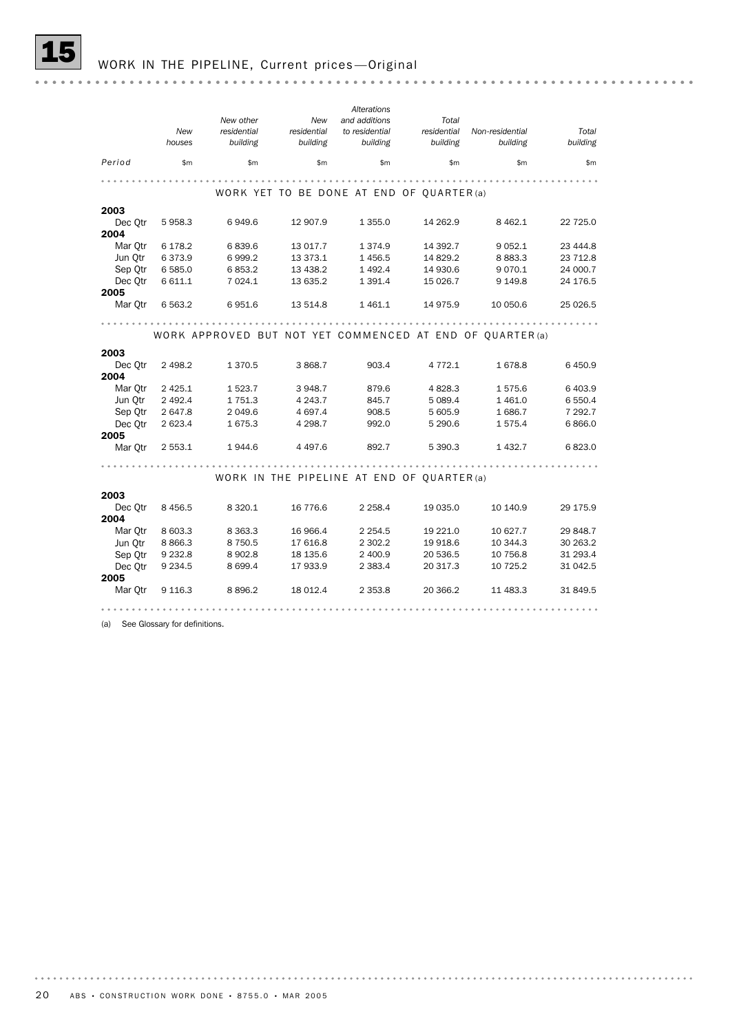|         |             |             |             | Alterations                                |             |                                                           |           |
|---------|-------------|-------------|-------------|--------------------------------------------|-------------|-----------------------------------------------------------|-----------|
|         |             | New other   | New         | and additions                              | Total       |                                                           |           |
|         | <b>New</b>  | residential | residential | to residential                             | residential | Non-residential                                           | Total     |
|         | houses      | building    | building    | building                                   | building    | building                                                  | building  |
| Period  | \$m         | \$m         | \$m         | \$m                                        | \$m         | \$m\$                                                     | \$m       |
|         |             |             |             |                                            |             |                                                           |           |
|         |             |             |             | WORK YET TO BE DONE AT END OF QUARTER (a)  |             |                                                           |           |
| 2003    |             |             |             |                                            |             |                                                           |           |
| Dec Otr | 5 9 5 8.3   | 6949.6      | 12 907.9    | 1 3 5 5.0                                  | 14 262.9    | 8 4 6 2.1                                                 | 22 7 25.0 |
| 2004    |             |             |             |                                            |             |                                                           |           |
| Mar Otr | 6 178.2     | 6839.6      | 13 017.7    | 1 3 7 4 .9                                 | 14 392.7    | 9 0 5 2.1                                                 | 23 444.8  |
| Jun Otr | 6373.9      | 6999.2      | 13 373.1    | 1 4 5 6.5                                  | 14 829.2    | 8 8 8 3.3                                                 | 23 712.8  |
| Sep Otr | 6 5 8 5 . 0 | 6853.2      | 13 4 38.2   | 1 4 9 2.4                                  | 14 930.6    | 9 0 7 0 . 1                                               | 24 000.7  |
| Dec Otr | 6 611.1     | 7 0 24.1    | 13 635.2    | 1 3 9 1.4                                  | 15 026.7    | 9 149.8                                                   | 24 176.5  |
| 2005    |             |             |             |                                            |             |                                                           |           |
| Mar Otr | 6 5 6 3.2   | 6951.6      | 13 514.8    | 1461.1                                     | 14 975.9    | 10 050.6                                                  | 25 0 26.5 |
|         |             |             |             |                                            |             |                                                           |           |
|         |             |             |             |                                            |             | WORK APPROVED BUT NOT YET COMMENCED AT END OF QUARTER (a) |           |
| 2003    |             |             |             |                                            |             |                                                           |           |
| Dec Otr | 2 4 9 8.2   | 1 3 7 0 .5  | 3 868.7     | 903.4                                      | 4 7 7 2 . 1 | 1678.8                                                    | 6450.9    |
| 2004    |             |             |             |                                            |             |                                                           |           |
| Mar Otr | 2 4 2 5 . 1 | 1 5 2 3.7   | 3948.7      | 879.6                                      | 4 8 28.3    | 1575.6                                                    | 6 4 0 3.9 |
| Jun Otr | 2 4 9 2.4   | 1751.3      | 4 2 4 3 . 7 | 845.7                                      | 5 0 8 9.4   | 1461.0                                                    | 6 5 5 0.4 |
| Sep Otr | 2 647.8     | 2 0 4 9.6   | 4 697.4     | 908.5                                      | 5 605.9     | 1686.7                                                    | 7 292.7   |
| Dec Otr | 2 623.4     | 1675.3      | 4 2 9 8.7   | 992.0                                      | 5 290.6     | 1 575.4                                                   | 6866.0    |
| 2005    |             |             |             |                                            |             |                                                           |           |
| Mar Otr | 2 5 5 3 . 1 | 1944.6      | 4 4 9 7 .6  | 892.7                                      | 5 390.3     | 1 4 3 2.7                                                 | 6823.0    |
|         |             |             |             |                                            |             |                                                           |           |
|         |             |             |             |                                            |             |                                                           |           |
|         |             |             |             | WORK IN THE PIPELINE AT END OF QUARTER (a) |             |                                                           |           |
| 2003    |             |             |             |                                            |             |                                                           |           |
| Dec Otr | 8 4 5 6.5   | 8 3 2 0.1   | 16 776.6    | 2 2 5 8.4                                  | 19 035.0    | 10 140.9                                                  | 29 175.9  |
| 2004    |             |             |             |                                            |             |                                                           |           |
| Mar Qtr | 8 603.3     | 8 3 6 3 . 3 | 16 966.4    | 2 2 5 4 . 5                                | 19 221.0    | 10 627.7                                                  | 29 848.7  |
| Jun Otr | 8 8 6 6.3   | 8 7 5 0.5   | 17 616.8    | 2 302.2                                    | 19 918.6    | 10 344.3                                                  | 30 263.2  |
| Sep Otr | 9 2 3 2.8   | 8 902.8     | 18 135.6    | 2 400.9                                    | 20 536.5    | 10 756.8                                                  | 31 293.4  |
| Dec Otr | 9 2 3 4.5   | 8 6 9 9.4   | 17 933.9    | 2 3 8 3.4                                  | 20 317.3    | 10 725.2                                                  | 31 042.5  |
| 2005    |             |             |             |                                            |             |                                                           |           |
| Mar Otr | 9 1 1 6 . 3 | 8896.2      | 18 0 12.4   | 2 3 5 3.8                                  | 20 366.2    | 11 483.3                                                  | 31 849.5  |
|         |             |             |             |                                            |             |                                                           |           |

(a) See Glossary for definitions.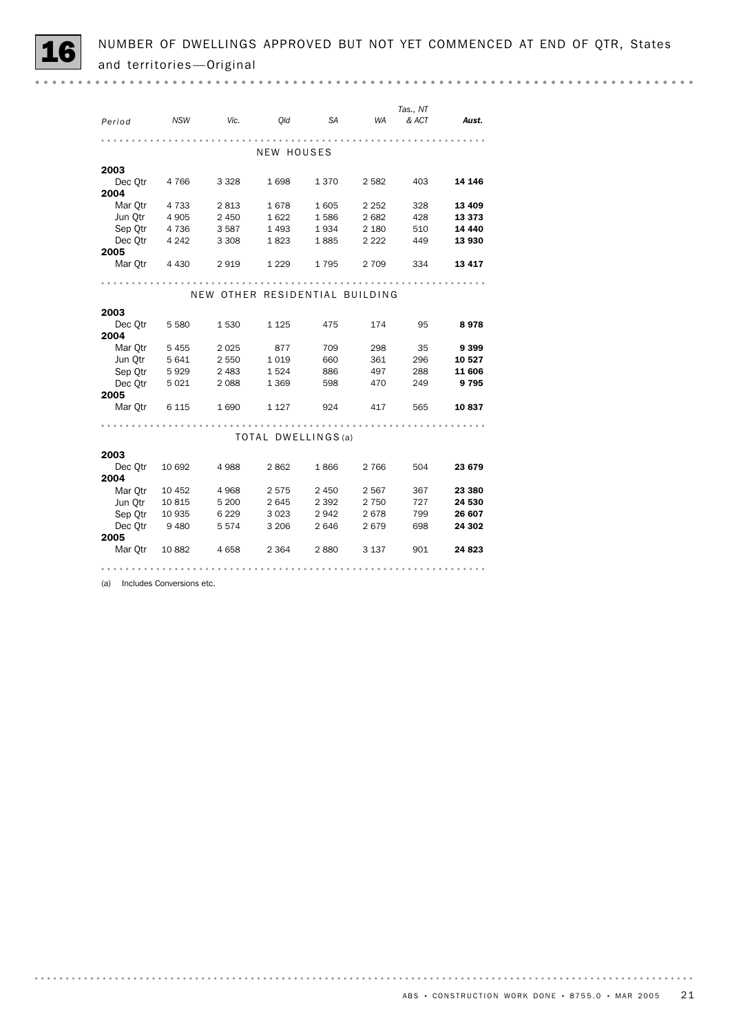|         |            |                                |                     |           |         | Tas., NT |          |
|---------|------------|--------------------------------|---------------------|-----------|---------|----------|----------|
| Period  | <b>NSW</b> | Vic.                           | Old                 | <b>SA</b> | WA      | & ACT    | Aust.    |
|         |            |                                |                     |           |         |          |          |
|         |            |                                | <b>NEW HOUSES</b>   |           |         |          |          |
| 2003    |            |                                |                     |           |         |          |          |
| Dec Qtr | 4 7 6 6    | 3 3 2 8                        | 1698                | 1370      | 2 5 8 2 | 403      | 14 146   |
| 2004    |            |                                |                     |           |         |          |          |
| Mar Qtr | 4 7 3 3    | 2813                           | 1678                | 1605      | 2 2 5 2 | 328      | 13 4 09  |
| Jun Qtr | 4 905      | 2 4 5 0                        | 1622                | 1586      | 2682    | 428      | 13373    |
| Sep Qtr | 4 7 3 6    | 3587                           | 1 4 9 3             | 1934      | 2 1 8 0 | 510      | 14 4 4 0 |
| Dec Otr | 4 2 4 2    | 3 3 0 8                        | 1823                | 1885      | 2 2 2 2 | 449      | 13 930   |
| 2005    |            |                                |                     |           |         |          |          |
| Mar Qtr | 4 4 3 0    | 2919                           | 1 2 2 9             | 1795      | 2 7 0 9 | 334      | 13417    |
|         |            |                                |                     |           |         |          |          |
|         |            | NEW OTHER RESIDENTIAL BUILDING |                     |           |         |          |          |
|         |            |                                |                     |           |         |          |          |
| 2003    |            |                                |                     |           |         |          |          |
| Dec Qtr | 5 5 8 0    | 1 5 3 0                        | 1 1 2 5             | 475       | 174     | 95       | 8978     |
| 2004    |            |                                |                     |           |         |          |          |
| Mar Otr | 5 4 5 5    | 2025                           | 877                 | 709       | 298     | 35       | 9399     |
| Jun Otr | 5 6 4 1    | 2 5 5 0                        | 1019                | 660       | 361     | 296      | 10 527   |
| Sep Otr | 5929       | 2 4 8 3                        | 1524                | 886       | 497     | 288      | 11 606   |
| Dec Qtr | 5 0 2 1    | 2088                           | 1 3 6 9             | 598       | 470     | 249      | 9795     |
| 2005    |            |                                |                     |           |         |          | 10837    |
| Mar Qtr | 6 1 1 5    | 1690                           | 1 1 2 7             | 924       | 417     | 565      |          |
|         |            |                                |                     |           |         |          |          |
|         |            |                                | TOTAL DWELLINGS (a) |           |         |          |          |
| 2003    |            |                                |                     |           |         |          |          |
| Dec Otr | 10 692     | 4988                           | 2862                | 1866      | 2 7 6 6 | 504      | 23 679   |
| 2004    |            |                                |                     |           |         |          |          |
| Mar Otr | 10 452     | 4968                           | 2575                | 2 4 5 0   | 2567    | 367      | 23 380   |
| Jun Otr | 10815      | 5 2 0 0                        | 2645                | 2 3 9 2   | 2 7 5 0 | 727      | 24 530   |
| Sep Qtr | 10 935     | 6 2 2 9                        | 3 0 2 3             | 2942      | 2678    | 799      | 26 607   |
| Dec Otr | 9 480      | 5574                           | 3 2 0 6             | 2646      | 2679    | 698      | 24 302   |
| 2005    |            |                                |                     |           |         |          |          |
| Mar Otr | 10882      | 4658                           | 2 3 6 4             | 2880      | 3 1 3 7 | 901      | 24 823   |
|         |            |                                |                     |           |         |          |          |
|         |            |                                |                     |           |         |          |          |

(a) Includes Conversions etc.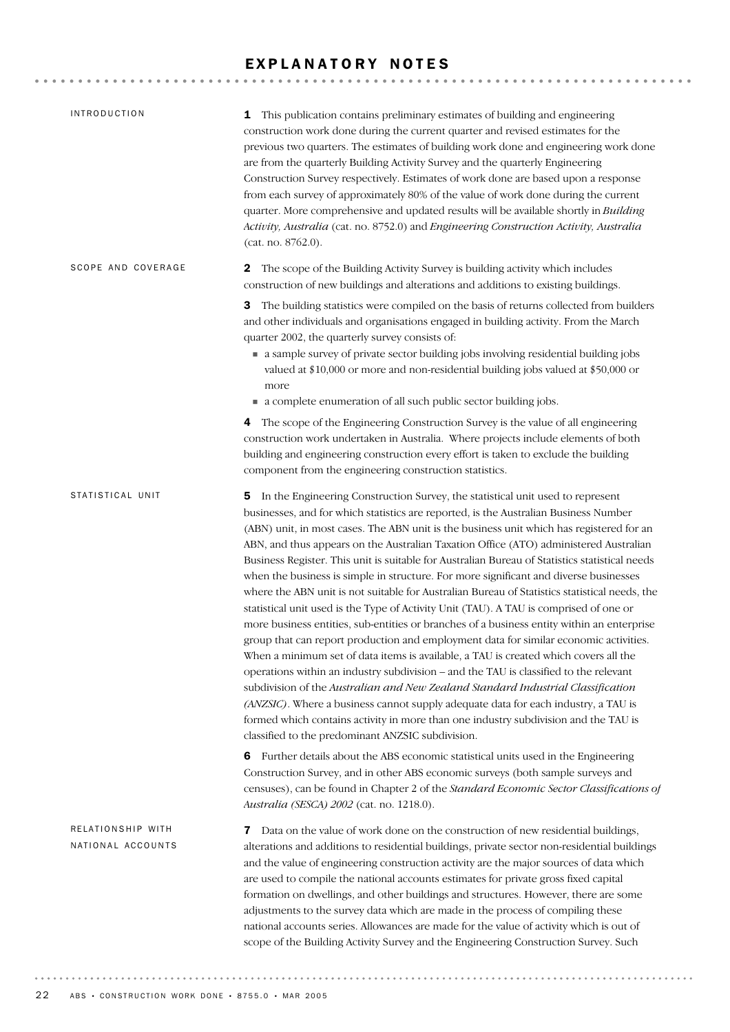## EXPLANATORY NOTES

| <b>INTRODUCTION</b>                    | 1 This publication contains preliminary estimates of building and engineering<br>construction work done during the current quarter and revised estimates for the<br>previous two quarters. The estimates of building work done and engineering work done<br>are from the quarterly Building Activity Survey and the quarterly Engineering<br>Construction Survey respectively. Estimates of work done are based upon a response<br>from each survey of approximately 80% of the value of work done during the current<br>quarter. More comprehensive and updated results will be available shortly in Building<br>Activity, Australia (cat. no. 8752.0) and Engineering Construction Activity, Australia<br>(cat. no. 8762.0).                                                                                                                                                                                                                                                                                                                                                                                                                                                                                                                                                                                                                                                                                                                    |
|----------------------------------------|---------------------------------------------------------------------------------------------------------------------------------------------------------------------------------------------------------------------------------------------------------------------------------------------------------------------------------------------------------------------------------------------------------------------------------------------------------------------------------------------------------------------------------------------------------------------------------------------------------------------------------------------------------------------------------------------------------------------------------------------------------------------------------------------------------------------------------------------------------------------------------------------------------------------------------------------------------------------------------------------------------------------------------------------------------------------------------------------------------------------------------------------------------------------------------------------------------------------------------------------------------------------------------------------------------------------------------------------------------------------------------------------------------------------------------------------------|
| SCOPE AND COVERAGE                     | 2 The scope of the Building Activity Survey is building activity which includes<br>construction of new buildings and alterations and additions to existing buildings.                                                                                                                                                                                                                                                                                                                                                                                                                                                                                                                                                                                                                                                                                                                                                                                                                                                                                                                                                                                                                                                                                                                                                                                                                                                                             |
|                                        | The building statistics were compiled on the basis of returns collected from builders<br>3<br>and other individuals and organisations engaged in building activity. From the March<br>quarter 2002, the quarterly survey consists of:<br>• a sample survey of private sector building jobs involving residential building jobs<br>valued at \$10,000 or more and non-residential building jobs valued at \$50,000 or<br>more                                                                                                                                                                                                                                                                                                                                                                                                                                                                                                                                                                                                                                                                                                                                                                                                                                                                                                                                                                                                                      |
|                                        | • a complete enumeration of all such public sector building jobs.                                                                                                                                                                                                                                                                                                                                                                                                                                                                                                                                                                                                                                                                                                                                                                                                                                                                                                                                                                                                                                                                                                                                                                                                                                                                                                                                                                                 |
|                                        | 4 The scope of the Engineering Construction Survey is the value of all engineering<br>construction work undertaken in Australia. Where projects include elements of both<br>building and engineering construction every effort is taken to exclude the building<br>component from the engineering construction statistics.                                                                                                                                                                                                                                                                                                                                                                                                                                                                                                                                                                                                                                                                                                                                                                                                                                                                                                                                                                                                                                                                                                                        |
| STATISTICAL UNIT                       | 5 In the Engineering Construction Survey, the statistical unit used to represent<br>businesses, and for which statistics are reported, is the Australian Business Number<br>(ABN) unit, in most cases. The ABN unit is the business unit which has registered for an<br>ABN, and thus appears on the Australian Taxation Office (ATO) administered Australian<br>Business Register. This unit is suitable for Australian Bureau of Statistics statistical needs<br>when the business is simple in structure. For more significant and diverse businesses<br>where the ABN unit is not suitable for Australian Bureau of Statistics statistical needs, the<br>statistical unit used is the Type of Activity Unit (TAU). A TAU is comprised of one or<br>more business entities, sub-entities or branches of a business entity within an enterprise<br>group that can report production and employment data for similar economic activities.<br>When a minimum set of data items is available, a TAU is created which covers all the<br>operations within an industry subdivision - and the TAU is classified to the relevant<br>subdivision of the Australian and New Zealand Standard Industrial Classification<br>(ANZSIC). Where a business cannot supply adequate data for each industry, a TAU is<br>formed which contains activity in more than one industry subdivision and the TAU is<br>classified to the predominant ANZSIC subdivision. |
|                                        | 6 Further details about the ABS economic statistical units used in the Engineering<br>Construction Survey, and in other ABS economic surveys (both sample surveys and<br>censuses), can be found in Chapter 2 of the Standard Economic Sector Classifications of<br>Australia (SESCA) 2002 (cat. no. 1218.0).                                                                                                                                                                                                                                                                                                                                                                                                                                                                                                                                                                                                                                                                                                                                                                                                                                                                                                                                                                                                                                                                                                                                     |
| RELATIONSHIP WITH<br>NATIONAL ACCOUNTS | Data on the value of work done on the construction of new residential buildings,<br>7<br>alterations and additions to residential buildings, private sector non-residential buildings<br>and the value of engineering construction activity are the major sources of data which<br>are used to compile the national accounts estimates for private gross fixed capital<br>formation on dwellings, and other buildings and structures. However, there are some<br>adjustments to the survey data which are made in the process of compiling these<br>national accounts series. Allowances are made for the value of activity which is out of<br>scope of the Building Activity Survey and the Engineering Construction Survey. Such                                                                                                                                                                                                                                                                                                                                                                                                                                                                                                                                                                                                                                                                                                                |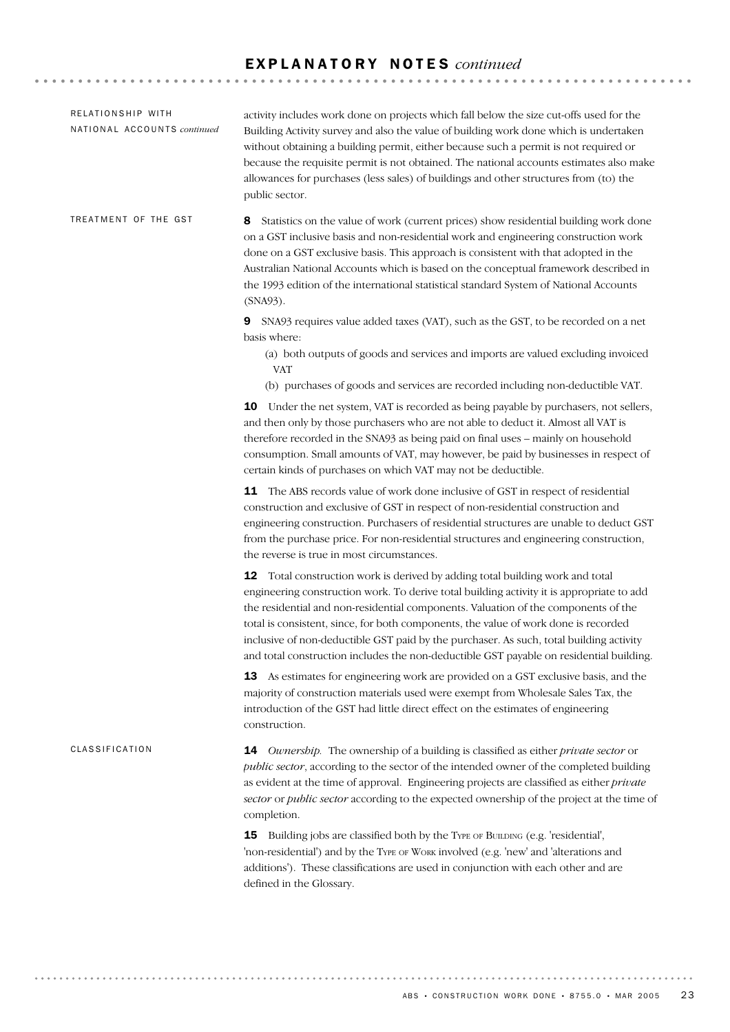| RELATIONSHIP WITH<br>NATIONAL ACCOUNTS continued | activity includes work done on projects which fall below the size cut-offs used for the<br>Building Activity survey and also the value of building work done which is undertaken<br>without obtaining a building permit, either because such a permit is not required or<br>because the requisite permit is not obtained. The national accounts estimates also make<br>allowances for purchases (less sales) of buildings and other structures from (to) the<br>public sector.                                                                       |
|--------------------------------------------------|------------------------------------------------------------------------------------------------------------------------------------------------------------------------------------------------------------------------------------------------------------------------------------------------------------------------------------------------------------------------------------------------------------------------------------------------------------------------------------------------------------------------------------------------------|
| TREATMENT OF THE GST                             | Statistics on the value of work (current prices) show residential building work done<br>8<br>on a GST inclusive basis and non-residential work and engineering construction work<br>done on a GST exclusive basis. This approach is consistent with that adopted in the<br>Australian National Accounts which is based on the conceptual framework described in<br>the 1993 edition of the international statistical standard System of National Accounts<br>(SNA93).                                                                                |
|                                                  | SNA93 requires value added taxes (VAT), such as the GST, to be recorded on a net<br>9<br>basis where:<br>(a) both outputs of goods and services and imports are valued excluding invoiced<br><b>VAT</b><br>(b) purchases of goods and services are recorded including non-deductible VAT.                                                                                                                                                                                                                                                            |
|                                                  | <b>10</b> Under the net system, VAT is recorded as being payable by purchasers, not sellers,<br>and then only by those purchasers who are not able to deduct it. Almost all VAT is<br>therefore recorded in the SNA93 as being paid on final uses - mainly on household<br>consumption. Small amounts of VAT, may however, be paid by businesses in respect of<br>certain kinds of purchases on which VAT may not be deductible.                                                                                                                     |
|                                                  | The ABS records value of work done inclusive of GST in respect of residential<br>11<br>construction and exclusive of GST in respect of non-residential construction and<br>engineering construction. Purchasers of residential structures are unable to deduct GST<br>from the purchase price. For non-residential structures and engineering construction,<br>the reverse is true in most circumstances.                                                                                                                                            |
|                                                  | <b>12</b> Total construction work is derived by adding total building work and total<br>engineering construction work. To derive total building activity it is appropriate to add<br>the residential and non-residential components. Valuation of the components of the<br>total is consistent, since, for both components, the value of work done is recorded<br>inclusive of non-deductible GST paid by the purchaser. As such, total building activity<br>and total construction includes the non-deductible GST payable on residential building. |
|                                                  | 13 As estimates for engineering work are provided on a GST exclusive basis, and the<br>majority of construction materials used were exempt from Wholesale Sales Tax, the<br>introduction of the GST had little direct effect on the estimates of engineering<br>construction.                                                                                                                                                                                                                                                                        |
| CLASSIFICATION                                   | <b>14</b> Ownership. The ownership of a building is classified as either <i>private sector</i> or<br>public sector, according to the sector of the intended owner of the completed building<br>as evident at the time of approval. Engineering projects are classified as either private<br>sector or public sector according to the expected ownership of the project at the time of<br>completion.                                                                                                                                                 |
|                                                  | Building jobs are classified both by the TYPE OF BUILDING (e.g. 'residential',<br>15<br>'non-residential') and by the TYPE OF WORK involved (e.g. 'new' and 'alterations and<br>additions'). These classifications are used in conjunction with each other and are<br>defined in the Glossary.                                                                                                                                                                                                                                                       |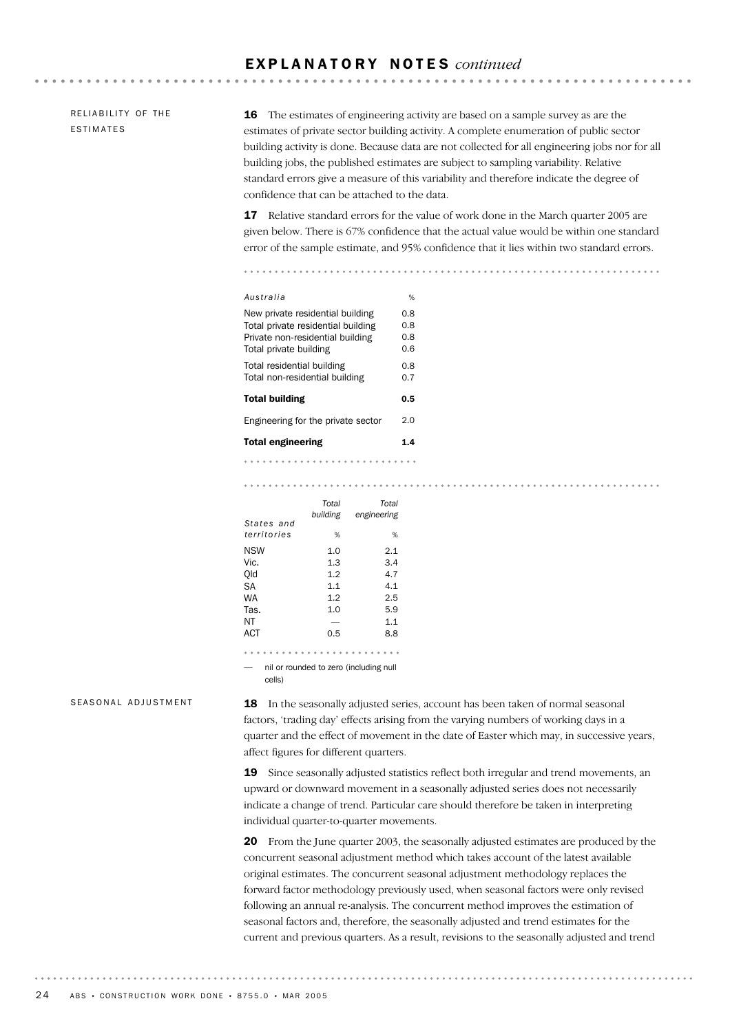RELIABILITY OF THE ESTIMATES

16 The estimates of engineering activity are based on a sample survey as are the estimates of private sector building activity. A complete enumeration of public sector building activity is done. Because data are not collected for all engineering jobs nor for all building jobs, the published estimates are subject to sampling variability. Relative standard errors give a measure of this variability and therefore indicate the degree of confidence that can be attached to the data.

**\*\*\*\*\*\*\*\*\*\*\*\*\*\*\*\*\***\*

17 Relative standard errors for the value of work done in the March quarter 2005 are given below. There is 67% confidence that the actual value would be within one standard error of the sample estimate, and 95% confidence that it lies within two standard errors.

. . . . . . . . . . . . . . .

| Australia                                                                                                                            | %                        |
|--------------------------------------------------------------------------------------------------------------------------------------|--------------------------|
| New private residential building<br>Total private residential building<br>Private non-residential building<br>Total private building | 0.8<br>0.8<br>0.8<br>0.6 |
| Total residential building<br>Total non-residential building                                                                         | 0.8<br>0.7               |
| <b>Total building</b>                                                                                                                | 0.5                      |
| Engineering for the private sector                                                                                                   | 2.0                      |
| <b>Total engineering</b>                                                                                                             | 1.4                      |
|                                                                                                                                      |                          |

|             | Total    | Total                                  |
|-------------|----------|----------------------------------------|
|             | building | engineering                            |
| States and  |          |                                        |
| territories | %        | %                                      |
| NSW         | 1.0      | 2.1                                    |
| Vic.        | 1.3      | 3.4                                    |
| Old         | 1.2      | 4.7                                    |
| SА          | 1.1      | 4.1                                    |
| WA          | 1.2      | 2.5                                    |
| Tas.        | 1.0      | 5.9                                    |
| ΝT          |          | 1.1                                    |
| ACT         | 0.5      | 8.8                                    |
|             |          |                                        |
|             |          |                                        |
|             |          | nil or rounded to zero (including null |

cells)

#### SEASONAL ADJUSTMENT

18 In the seasonally adjusted series, account has been taken of normal seasonal factors, 'trading day' effects arising from the varying numbers of working days in a quarter and the effect of movement in the date of Easter which may, in successive years, affect figures for different quarters.

19 Since seasonally adjusted statistics reflect both irregular and trend movements, an upward or downward movement in a seasonally adjusted series does not necessarily indicate a change of trend. Particular care should therefore be taken in interpreting individual quarter-to-quarter movements.

20 From the June quarter 2003, the seasonally adjusted estimates are produced by the concurrent seasonal adjustment method which takes account of the latest available original estimates. The concurrent seasonal adjustment methodology replaces the forward factor methodology previously used, when seasonal factors were only revised following an annual re-analysis. The concurrent method improves the estimation of seasonal factors and, therefore, the seasonally adjusted and trend estimates for the current and previous quarters. As a result, revisions to the seasonally adjusted and trend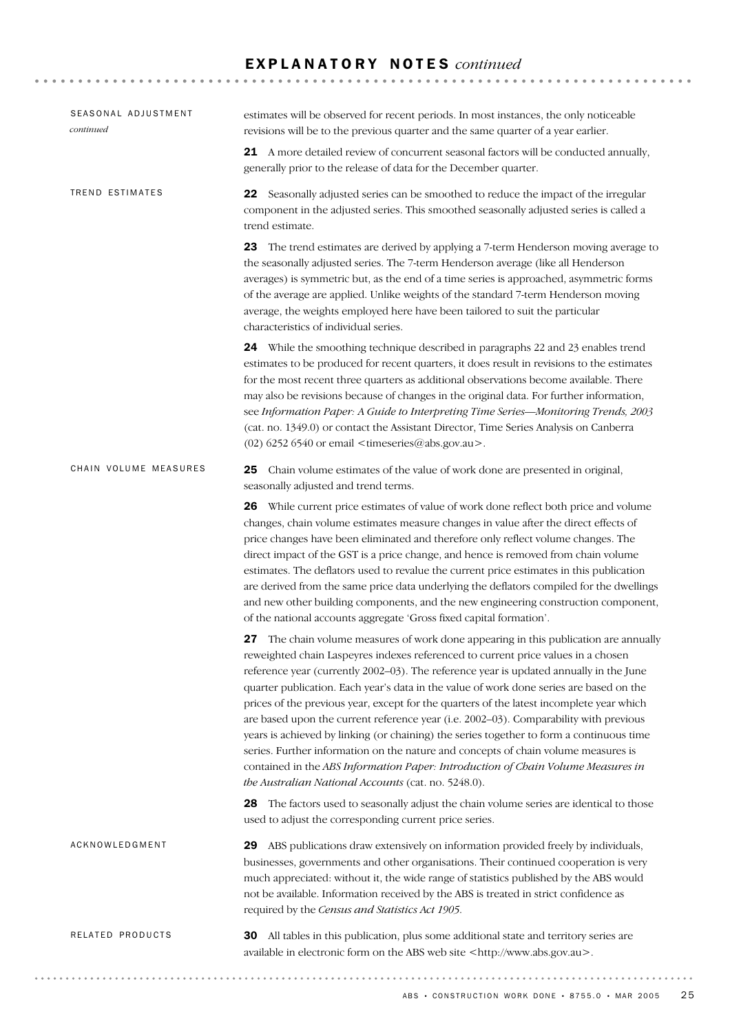| SEASONAL ADJUSTMENT<br>continued | estimates will be observed for recent periods. In most instances, the only noticeable<br>revisions will be to the previous quarter and the same quarter of a year earlier.                                                                                                                                                                                                                                                                                                                                                                                                                                                                                                                                                                                                                                                                                                       |
|----------------------------------|----------------------------------------------------------------------------------------------------------------------------------------------------------------------------------------------------------------------------------------------------------------------------------------------------------------------------------------------------------------------------------------------------------------------------------------------------------------------------------------------------------------------------------------------------------------------------------------------------------------------------------------------------------------------------------------------------------------------------------------------------------------------------------------------------------------------------------------------------------------------------------|
|                                  | 21 A more detailed review of concurrent seasonal factors will be conducted annually,<br>generally prior to the release of data for the December quarter.                                                                                                                                                                                                                                                                                                                                                                                                                                                                                                                                                                                                                                                                                                                         |
| TREND ESTIMATES                  | 22 Seasonally adjusted series can be smoothed to reduce the impact of the irregular<br>component in the adjusted series. This smoothed seasonally adjusted series is called a<br>trend estimate.                                                                                                                                                                                                                                                                                                                                                                                                                                                                                                                                                                                                                                                                                 |
|                                  | 23 The trend estimates are derived by applying a 7-term Henderson moving average to<br>the seasonally adjusted series. The 7-term Henderson average (like all Henderson<br>averages) is symmetric but, as the end of a time series is approached, asymmetric forms<br>of the average are applied. Unlike weights of the standard 7-term Henderson moving<br>average, the weights employed here have been tailored to suit the particular<br>characteristics of individual series.                                                                                                                                                                                                                                                                                                                                                                                                |
|                                  | 24 While the smoothing technique described in paragraphs 22 and 23 enables trend<br>estimates to be produced for recent quarters, it does result in revisions to the estimates<br>for the most recent three quarters as additional observations become available. There<br>may also be revisions because of changes in the original data. For further information,<br>see Information Paper: A Guide to Interpreting Time Series-Monitoring Trends, 2003<br>(cat. no. 1349.0) or contact the Assistant Director, Time Series Analysis on Canberra<br>$(02)$ 6252 6540 or email <timeseries@abs.gov.au>.</timeseries@abs.gov.au>                                                                                                                                                                                                                                                  |
| CHAIN VOLUME MEASURES            | 25<br>Chain volume estimates of the value of work done are presented in original,<br>seasonally adjusted and trend terms.                                                                                                                                                                                                                                                                                                                                                                                                                                                                                                                                                                                                                                                                                                                                                        |
|                                  | 26 While current price estimates of value of work done reflect both price and volume<br>changes, chain volume estimates measure changes in value after the direct effects of<br>price changes have been eliminated and therefore only reflect volume changes. The<br>direct impact of the GST is a price change, and hence is removed from chain volume<br>estimates. The deflators used to revalue the current price estimates in this publication<br>are derived from the same price data underlying the deflators compiled for the dwellings<br>and new other building components, and the new engineering construction component,<br>of the national accounts aggregate 'Gross fixed capital formation'.                                                                                                                                                                     |
|                                  | 27 The chain volume measures of work done appearing in this publication are annually<br>reweighted chain Laspeyres indexes referenced to current price values in a chosen<br>reference year (currently 2002-03). The reference year is updated annually in the June<br>quarter publication. Each year's data in the value of work done series are based on the<br>prices of the previous year, except for the quarters of the latest incomplete year which<br>are based upon the current reference year (i.e. 2002-03). Comparability with previous<br>years is achieved by linking (or chaining) the series together to form a continuous time<br>series. Further information on the nature and concepts of chain volume measures is<br>contained in the ABS Information Paper: Introduction of Chain Volume Measures in<br>the Australian National Accounts (cat. no. 5248.0). |
|                                  | 28 The factors used to seasonally adjust the chain volume series are identical to those<br>used to adjust the corresponding current price series.                                                                                                                                                                                                                                                                                                                                                                                                                                                                                                                                                                                                                                                                                                                                |
| ACKNOWLEDGMENT                   | ABS publications draw extensively on information provided freely by individuals,<br>29<br>businesses, governments and other organisations. Their continued cooperation is very<br>much appreciated: without it, the wide range of statistics published by the ABS would<br>not be available. Information received by the ABS is treated in strict confidence as<br>required by the Census and Statistics Act 1905.                                                                                                                                                                                                                                                                                                                                                                                                                                                               |
| RELATED PRODUCTS                 | All tables in this publication, plus some additional state and territory series are<br>30<br>available in electronic form on the ABS web site <http: www.abs.gov.au="">.</http:>                                                                                                                                                                                                                                                                                                                                                                                                                                                                                                                                                                                                                                                                                                 |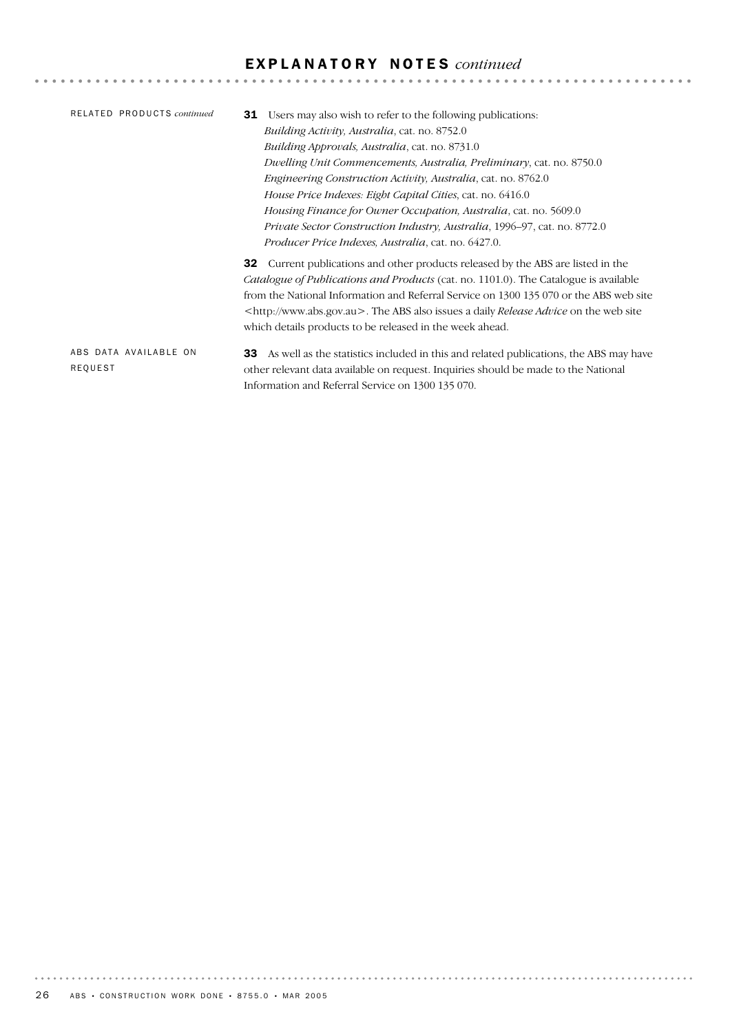| RELATED PRODUCTS continued       | Users may also wish to refer to the following publications:<br>31<br><i>Building Activity, Australia, cat. no. 8752.0</i><br><i>Building Approvals, Australia, cat. no.</i> 8731.0<br>Dwelling Unit Commencements, Australia, Preliminary, cat. no. 8750.0<br><i>Engineering Construction Activity, Australia, cat. no. 8762.0</i><br>House Price Indexes: Eight Capital Cities, cat. no. 6416.0<br>Housing Finance for Owner Occupation, Australia, cat. no. 5609.0<br><i>Private Sector Construction Industry, Australia, 1996–97, cat. no. 8772.0</i> |
|----------------------------------|----------------------------------------------------------------------------------------------------------------------------------------------------------------------------------------------------------------------------------------------------------------------------------------------------------------------------------------------------------------------------------------------------------------------------------------------------------------------------------------------------------------------------------------------------------|
|                                  | <i>Producer Price Indexes, Australia, cat. no.</i> 6427.0.<br><b>32</b> Current publications and other products released by the ABS are listed in the<br><i>Catalogue of Publications and Products</i> (cat. no. 1101.0). The Catalogue is available<br>from the National Information and Referral Service on 1300 135 070 or the ABS web site<br><http: www.abs.gov.au="">. The ABS also issues a daily <i>Release Advice</i> on the web site<br/>which details products to be released in the week ahead.</http:>                                      |
| ABS DATA AVAILABLE ON<br>REQUEST | As well as the statistics included in this and related publications, the ABS may have<br>33<br>other relevant data available on request. Inquiries should be made to the National                                                                                                                                                                                                                                                                                                                                                                        |

Information and Referral Service on 1300 135 070.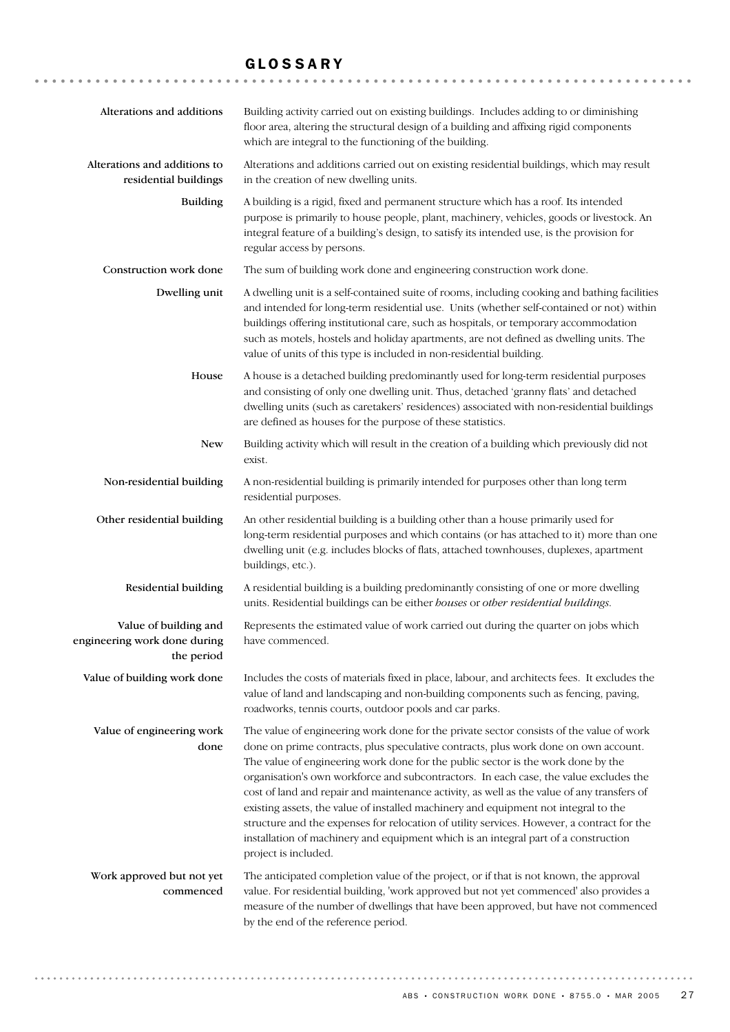## GLOSSARY

| Alterations and additions                                           | Building activity carried out on existing buildings. Includes adding to or diminishing<br>floor area, altering the structural design of a building and affixing rigid components<br>which are integral to the functioning of the building.                                                                                                                                                                                                                                                                                                                                                                                                                                                                                                                    |
|---------------------------------------------------------------------|---------------------------------------------------------------------------------------------------------------------------------------------------------------------------------------------------------------------------------------------------------------------------------------------------------------------------------------------------------------------------------------------------------------------------------------------------------------------------------------------------------------------------------------------------------------------------------------------------------------------------------------------------------------------------------------------------------------------------------------------------------------|
| Alterations and additions to<br>residential buildings               | Alterations and additions carried out on existing residential buildings, which may result<br>in the creation of new dwelling units.                                                                                                                                                                                                                                                                                                                                                                                                                                                                                                                                                                                                                           |
| <b>Building</b>                                                     | A building is a rigid, fixed and permanent structure which has a roof. Its intended<br>purpose is primarily to house people, plant, machinery, vehicles, goods or livestock. An<br>integral feature of a building's design, to satisfy its intended use, is the provision for<br>regular access by persons.                                                                                                                                                                                                                                                                                                                                                                                                                                                   |
| Construction work done                                              | The sum of building work done and engineering construction work done.                                                                                                                                                                                                                                                                                                                                                                                                                                                                                                                                                                                                                                                                                         |
| Dwelling unit                                                       | A dwelling unit is a self-contained suite of rooms, including cooking and bathing facilities<br>and intended for long-term residential use. Units (whether self-contained or not) within<br>buildings offering institutional care, such as hospitals, or temporary accommodation<br>such as motels, hostels and holiday apartments, are not defined as dwelling units. The<br>value of units of this type is included in non-residential building.                                                                                                                                                                                                                                                                                                            |
| House                                                               | A house is a detached building predominantly used for long-term residential purposes<br>and consisting of only one dwelling unit. Thus, detached 'granny flats' and detached<br>dwelling units (such as caretakers' residences) associated with non-residential buildings<br>are defined as houses for the purpose of these statistics.                                                                                                                                                                                                                                                                                                                                                                                                                       |
| <b>New</b>                                                          | Building activity which will result in the creation of a building which previously did not<br>exist.                                                                                                                                                                                                                                                                                                                                                                                                                                                                                                                                                                                                                                                          |
| Non-residential building                                            | A non-residential building is primarily intended for purposes other than long term<br>residential purposes.                                                                                                                                                                                                                                                                                                                                                                                                                                                                                                                                                                                                                                                   |
| Other residential building                                          | An other residential building is a building other than a house primarily used for<br>long-term residential purposes and which contains (or has attached to it) more than one<br>dwelling unit (e.g. includes blocks of flats, attached townhouses, duplexes, apartment<br>buildings, etc.).                                                                                                                                                                                                                                                                                                                                                                                                                                                                   |
| Residential building                                                | A residential building is a building predominantly consisting of one or more dwelling<br>units. Residential buildings can be either houses or other residential buildings.                                                                                                                                                                                                                                                                                                                                                                                                                                                                                                                                                                                    |
| Value of building and<br>engineering work done during<br>the period | Represents the estimated value of work carried out during the quarter on jobs which<br>have commenced.                                                                                                                                                                                                                                                                                                                                                                                                                                                                                                                                                                                                                                                        |
| Value of building work done                                         | Includes the costs of materials fixed in place, labour, and architects fees. It excludes the<br>value of land and landscaping and non-building components such as fencing, paving,<br>roadworks, tennis courts, outdoor pools and car parks.                                                                                                                                                                                                                                                                                                                                                                                                                                                                                                                  |
| Value of engineering work<br>done                                   | The value of engineering work done for the private sector consists of the value of work<br>done on prime contracts, plus speculative contracts, plus work done on own account.<br>The value of engineering work done for the public sector is the work done by the<br>organisation's own workforce and subcontractors. In each case, the value excludes the<br>cost of land and repair and maintenance activity, as well as the value of any transfers of<br>existing assets, the value of installed machinery and equipment not integral to the<br>structure and the expenses for relocation of utility services. However, a contract for the<br>installation of machinery and equipment which is an integral part of a construction<br>project is included. |
| Work approved but not yet<br>commenced                              | The anticipated completion value of the project, or if that is not known, the approval<br>value. For residential building, 'work approved but not yet commenced' also provides a<br>measure of the number of dwellings that have been approved, but have not commenced<br>by the end of the reference period.                                                                                                                                                                                                                                                                                                                                                                                                                                                 |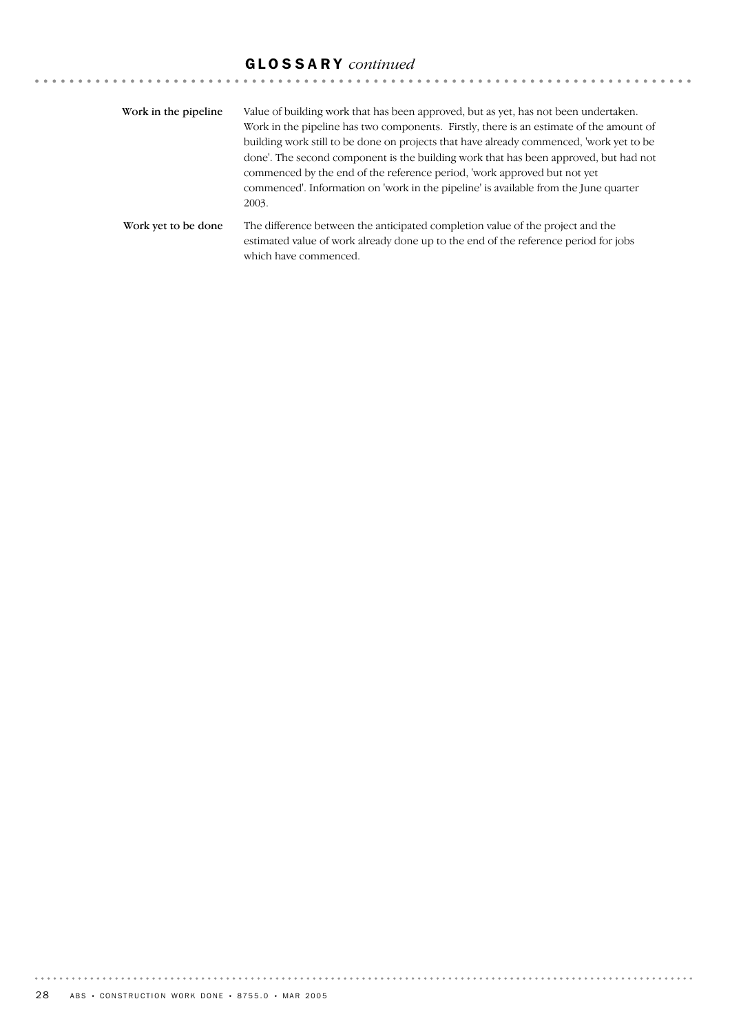## GLOSSARY *continued*

| Work in the pipeline. | Value of building work that has been approved, but as yet, has not been undertaken.<br>Work in the pipeline has two components. Firstly, there is an estimate of the amount of<br>building work still to be done on projects that have already commenced, 'work yet to be<br>done'. The second component is the building work that has been approved, but had not<br>commenced by the end of the reference period, 'work approved but not yet<br>commenced'. Information on 'work in the pipeline' is available from the June quarter<br>2003. |
|-----------------------|------------------------------------------------------------------------------------------------------------------------------------------------------------------------------------------------------------------------------------------------------------------------------------------------------------------------------------------------------------------------------------------------------------------------------------------------------------------------------------------------------------------------------------------------|
| Work yet to be done   | The difference between the anticipated completion value of the project and the<br>estimated value of work already done up to the end of the reference period for jobs<br>which have commenced.                                                                                                                                                                                                                                                                                                                                                 |